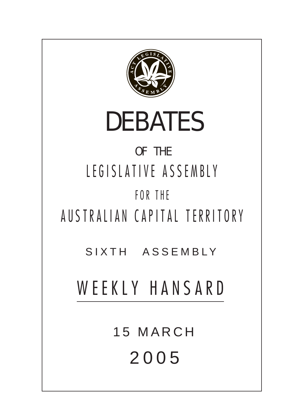

 15 MARCH 200 5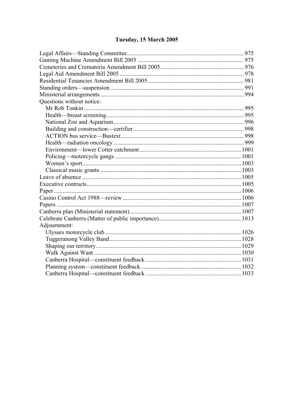# Tuesday, 15 March 2005

| Questions without notice: |  |
|---------------------------|--|
|                           |  |
|                           |  |
|                           |  |
|                           |  |
|                           |  |
|                           |  |
|                           |  |
|                           |  |
|                           |  |
|                           |  |
|                           |  |
|                           |  |
|                           |  |
|                           |  |
|                           |  |
|                           |  |
|                           |  |
| Adjournment:              |  |
|                           |  |
|                           |  |
|                           |  |
|                           |  |
|                           |  |
|                           |  |
|                           |  |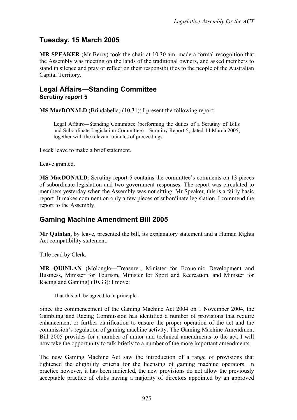# **Tuesday, 15 March 2005**

**MR SPEAKER** (Mr Berry) took the chair at 10.30 am, made a formal recognition that the Assembly was meeting on the lands of the traditional owners, and asked members to stand in silence and pray or reflect on their responsibilities to the people of the Australian Capital Territory.

# <span id="page-2-0"></span>**Legal Affairs—Standing Committee Scrutiny report 5**

**MS MacDONALD** (Brindabella) (10.31): I present the following report:

Legal Affairs—Standing Committee (performing the duties of a Scrutiny of Bills and Subordinate Legislation Committee)—Scrutiny Report 5, dated 14 March 2005, together with the relevant minutes of proceedings.

I seek leave to make a brief statement.

Leave granted.

**MS MacDONALD**: Scrutiny report 5 contains the committee's comments on 13 pieces of subordinate legislation and two government responses. The report was circulated to members yesterday when the Assembly was not sitting. Mr Speaker, this is a fairly basic report. It makes comment on only a few pieces of subordinate legislation. I commend the report to the Assembly.

# <span id="page-2-1"></span>**Gaming Machine Amendment Bill 2005**

**Mr Quinlan**, by leave, presented the bill, its explanatory statement and a Human Rights Act compatibility statement.

Title read by Clerk.

**MR QUINLAN** (Molonglo—Treasurer, Minister for Economic Development and Business, Minister for Tourism, Minister for Sport and Recreation, and Minister for Racing and Gaming) (10.33): I move:

That this bill be agreed to in principle.

Since the commencement of the Gaming Machine Act 2004 on 1 November 2004, the Gambling and Racing Commission has identified a number of provisions that require enhancement or further clarification to ensure the proper operation of the act and the commission's regulation of gaming machine activity. The Gaming Machine Amendment Bill 2005 provides for a number of minor and technical amendments to the act. I will now take the opportunity to talk briefly to a number of the more important amendments.

The new Gaming Machine Act saw the introduction of a range of provisions that tightened the eligibility criteria for the licensing of gaming machine operators. In practice however, it has been indicated, the new provisions do not allow the previously acceptable practice of clubs having a majority of directors appointed by an approved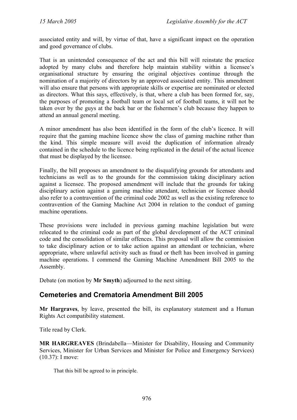associated entity and will, by virtue of that, have a significant impact on the operation and good governance of clubs.

That is an unintended consequence of the act and this bill will reinstate the practice adopted by many clubs and therefore help maintain stability within a licensee's organisational structure by ensuring the original objectives continue through the nomination of a majority of directors by an approved associated entity. This amendment will also ensure that persons with appropriate skills or expertise are nominated or elected as directors. What this says, effectively, is that, where a club has been formed for, say, the purposes of promoting a football team or local set of football teams, it will not be taken over by the guys at the back bar or the fishermen's club because they happen to attend an annual general meeting.

A minor amendment has also been identified in the form of the club's licence. It will require that the gaming machine licence show the class of gaming machine rather than the kind. This simple measure will avoid the duplication of information already contained in the schedule to the licence being replicated in the detail of the actual licence that must be displayed by the licensee.

Finally, the bill proposes an amendment to the disqualifying grounds for attendants and technicians as well as to the grounds for the commission taking disciplinary action against a licensee. The proposed amendment will include that the grounds for taking disciplinary action against a gaming machine attendant, technician or licensee should also refer to a contravention of the criminal code 2002 as well as the existing reference to contravention of the Gaming Machine Act 2004 in relation to the conduct of gaming machine operations.

These provisions were included in previous gaming machine legislation but were relocated to the criminal code as part of the global development of the ACT criminal code and the consolidation of similar offences. This proposal will allow the commission to take disciplinary action or to take action against an attendant or technician, where appropriate, where unlawful activity such as fraud or theft has been involved in gaming machine operations. I commend the Gaming Machine Amendment Bill 2005 to the Assembly.

Debate (on motion by **Mr Smyth**) adjourned to the next sitting.

# <span id="page-3-0"></span>**Cemeteries and Crematoria Amendment Bill 2005**

**Mr Hargraves**, by leave, presented the bill, its explanatory statement and a Human Rights Act compatibility statement.

Title read by Clerk.

**MR HARGREAVES** (Brindabella—Minister for Disability, Housing and Community Services, Minister for Urban Services and Minister for Police and Emergency Services) (10.37): I move:

That this bill be agreed to in principle.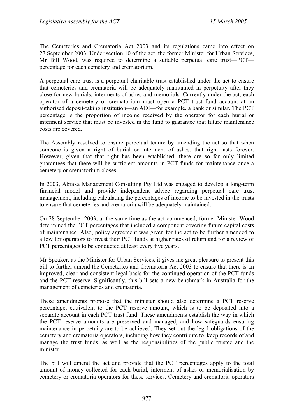The Cemeteries and Crematoria Act 2003 and its regulations came into effect on 27 September 2003. Under section 10 of the act, the former Minister for Urban Services, Mr Bill Wood, was required to determine a suitable perpetual care trust—PCT percentage for each cemetery and crematorium.

A perpetual care trust is a perpetual charitable trust established under the act to ensure that cemeteries and crematoria will be adequately maintained in perpetuity after they close for new burials, interments of ashes and memorials. Currently under the act, each operator of a cemetery or crematorium must open a PCT trust fund account at an authorised deposit-taking institution—an ADI—for example, a bank or similar. The PCT percentage is the proportion of income received by the operator for each burial or interment service that must be invested in the fund to guarantee that future maintenance costs are covered.

The Assembly resolved to ensure perpetual tenure by amending the act so that when someone is given a right of burial or interment of ashes, that right lasts forever. However, given that that right has been established, there are so far only limited guarantees that there will be sufficient amounts in PCT funds for maintenance once a cemetery or crematorium closes.

In 2003, Abraxa Management Consulting Pty Ltd was engaged to develop a long-term financial model and provide independent advice regarding perpetual care trust management, including calculating the percentages of income to be invested in the trusts to ensure that cemeteries and crematoria will be adequately maintained.

On 28 September 2003, at the same time as the act commenced, former Minister Wood determined the PCT percentages that included a component covering future capital costs of maintenance. Also, policy agreement was given for the act to be further amended to allow for operators to invest their PCT funds at higher rates of return and for a review of PCT percentages to be conducted at least every five years.

Mr Speaker, as the Minister for Urban Services, it gives me great pleasure to present this bill to further amend the Cemeteries and Crematoria Act 2003 to ensure that there is an improved, clear and consistent legal basis for the continued operation of the PCT funds and the PCT reserve. Significantly, this bill sets a new benchmark in Australia for the management of cemeteries and crematoria.

These amendments propose that the minister should also determine a PCT reserve percentage, equivalent to the PCT reserve amount, which is to be deposited into a separate account in each PCT trust fund. These amendments establish the way in which the PCT reserve amounts are preserved and managed, and how safeguards ensuring maintenance in perpetuity are to be achieved. They set out the legal obligations of the cemetery and crematoria operators, including how they contribute to, keep records of and manage the trust funds, as well as the responsibilities of the public trustee and the minister.

The bill will amend the act and provide that the PCT percentages apply to the total amount of money collected for each burial, interment of ashes or memorialisation by cemetery or crematoria operators for these services. Cemetery and crematoria operators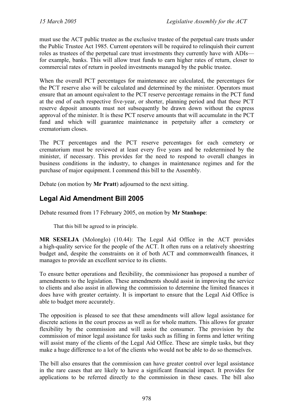must use the ACT public trustee as the exclusive trustee of the perpetual care trusts under the Public Trustee Act 1985. Current operators will be required to relinquish their current roles as trustees of the perpetual care trust investments they currently have with ADIs for example, banks. This will allow trust funds to earn higher rates of return, closer to commercial rates of return in pooled investments managed by the public trustee.

When the overall PCT percentages for maintenance are calculated, the percentages for the PCT reserve also will be calculated and determined by the minister. Operators must ensure that an amount equivalent to the PCT reserve percentage remains in the PCT fund at the end of each respective five-year, or shorter, planning period and that these PCT reserve deposit amounts must not subsequently be drawn down without the express approval of the minister. It is these PCT reserve amounts that will accumulate in the PCT fund and which will guarantee maintenance in perpetuity after a cemetery or crematorium closes.

The PCT percentages and the PCT reserve percentages for each cemetery or crematorium must be reviewed at least every five years and be redetermined by the minister, if necessary. This provides for the need to respond to overall changes in business conditions in the industry, to changes in maintenance regimes and for the purchase of major equipment. I commend this bill to the Assembly.

Debate (on motion by **Mr Pratt**) adjourned to the next sitting.

# <span id="page-5-0"></span>**Legal Aid Amendment Bill 2005**

Debate resumed from 17 February 2005, on motion by **Mr Stanhope**:

That this bill be agreed to in principle.

**MR SESELJA** (Molonglo) (10.44): The Legal Aid Office in the ACT provides a high-quality service for the people of the ACT. It often runs on a relatively shoestring budget and, despite the constraints on it of both ACT and commonwealth finances, it manages to provide an excellent service to its clients.

To ensure better operations and flexibility, the commissioner has proposed a number of amendments to the legislation. These amendments should assist in improving the service to clients and also assist in allowing the commission to determine the limited finances it does have with greater certainty. It is important to ensure that the Legal Aid Office is able to budget more accurately.

The opposition is pleased to see that these amendments will allow legal assistance for discrete actions in the court process as well as for whole matters. This allows for greater flexibility by the commission and will assist the consumer. The provision by the commission of minor legal assistance for tasks such as filling in forms and letter writing will assist many of the clients of the Legal Aid Office. These are simple tasks, but they make a huge difference to a lot of the clients who would not be able to do so themselves.

The bill also ensures that the commission can have greater control over legal assistance in the rare cases that are likely to have a significant financial impact. It provides for applications to be referred directly to the commission in these cases. The bill also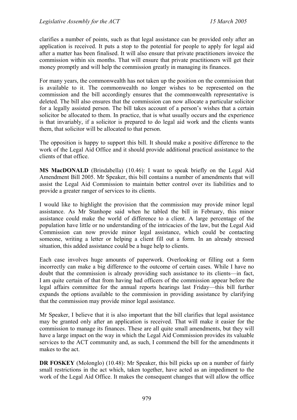clarifies a number of points, such as that legal assistance can be provided only after an application is received. It puts a stop to the potential for people to apply for legal aid after a matter has been finalised. It will also ensure that private practitioners invoice the commission within six months. That will ensure that private practitioners will get their money promptly and will help the commission greatly in managing its finances.

For many years, the commonwealth has not taken up the position on the commission that is available to it. The commonwealth no longer wishes to be represented on the commission and the bill accordingly ensures that the commonwealth representative is deleted. The bill also ensures that the commission can now allocate a particular solicitor for a legally assisted person. The bill takes account of a person's wishes that a certain solicitor be allocated to them. In practice, that is what usually occurs and the experience is that invariably, if a solicitor is prepared to do legal aid work and the clients wants them, that solicitor will be allocated to that person.

The opposition is happy to support this bill. It should make a positive difference to the work of the Legal Aid Office and it should provide additional practical assistance to the clients of that office.

**MS MacDONALD** (Brindabella) (10.46): I want to speak briefly on the Legal Aid Amendment Bill 2005. Mr Speaker, this bill contains a number of amendments that will assist the Legal Aid Commission to maintain better control over its liabilities and to provide a greater ranger of services to its clients.

I would like to highlight the provision that the commission may provide minor legal assistance. As Mr Stanhope said when he tabled the bill in February, this minor assistance could make the world of difference to a client. A large percentage of the population have little or no understanding of the intricacies of the law, but the Legal Aid Commission can now provide minor legal assistance, which could be contacting someone, writing a letter or helping a client fill out a form. In an already stressed situation, this added assistance could be a huge help to clients.

Each case involves huge amounts of paperwork. Overlooking or filling out a form incorrectly can make a big difference to the outcome of certain cases. While I have no doubt that the commission is already providing such assistance to its clients—in fact, I am quite certain of that from having had officers of the commission appear before the legal affairs committee for the annual reports hearings last Friday—this bill further expands the options available to the commission in providing assistance by clarifying that the commission may provide minor legal assistance.

Mr Speaker, I believe that it is also important that the bill clarifies that legal assistance may be granted only after an application is received. That will make it easier for the commission to manage its finances. These are all quite small amendments, but they will have a large impact on the way in which the Legal Aid Commission provides its valuable services to the ACT community and, as such, I commend the bill for the amendments it makes to the act.

**DR FOSKEY** (Molonglo) (10.48): Mr Speaker, this bill picks up on a number of fairly small restrictions in the act which, taken together, have acted as an impediment to the work of the Legal Aid Office. It makes the consequent changes that will allow the office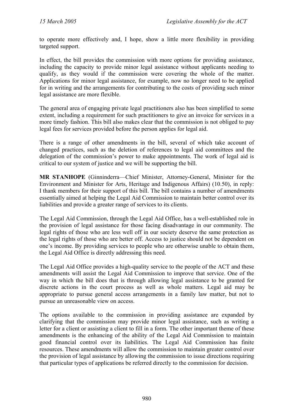to operate more effectively and, I hope, show a little more flexibility in providing targeted support.

In effect, the bill provides the commission with more options for providing assistance, including the capacity to provide minor legal assistance without applicants needing to qualify, as they would if the commission were covering the whole of the matter. Applications for minor legal assistance, for example, now no longer need to be applied for in writing and the arrangements for contributing to the costs of providing such minor legal assistance are more flexible.

The general area of engaging private legal practitioners also has been simplified to some extent, including a requirement for such practitioners to give an invoice for services in a more timely fashion. This bill also makes clear that the commission is not obliged to pay legal fees for services provided before the person applies for legal aid.

There is a range of other amendments in the bill, several of which take account of changed practices, such as the deletion of references to legal aid committees and the delegation of the commission's power to make appointments. The work of legal aid is critical to our system of justice and we will be supporting the bill.

**MR STANHOPE** (Ginninderra—Chief Minister, Attorney-General, Minister for the Environment and Minister for Arts, Heritage and Indigenous Affairs) (10.50), in reply: I thank members for their support of this bill. The bill contains a number of amendments essentially aimed at helping the Legal Aid Commission to maintain better control over its liabilities and provide a greater range of services to its clients.

The Legal Aid Commission, through the Legal Aid Office, has a well-established role in the provision of legal assistance for those facing disadvantage in our community. The legal rights of those who are less well off in our society deserve the same protection as the legal rights of those who are better off. Access to justice should not be dependent on one's income. By providing services to people who are otherwise unable to obtain them, the Legal Aid Office is directly addressing this need.

The Legal Aid Office provides a high-quality service to the people of the ACT and these amendments will assist the Legal Aid Commission to improve that service. One of the way in which the bill does that is through allowing legal assistance to be granted for discrete actions in the court process as well as whole matters. Legal aid may be appropriate to pursue general access arrangements in a family law matter, but not to pursue an unreasonable view on access.

The options available to the commission in providing assistance are expanded by clarifying that the commission may provide minor legal assistance, such as writing a letter for a client or assisting a client to fill in a form. The other important theme of these amendments is the enhancing of the ability of the Legal Aid Commission to maintain good financial control over its liabilities. The Legal Aid Commission has finite resources. These amendments will allow the commission to maintain greater control over the provision of legal assistance by allowing the commission to issue directions requiring that particular types of applications be referred directly to the commission for decision.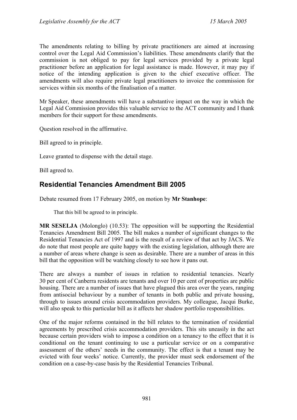The amendments relating to billing by private practitioners are aimed at increasing control over the Legal Aid Commission's liabilities. These amendments clarify that the commission is not obliged to pay for legal services provided by a private legal practitioner before an application for legal assistance is made. However, it may pay if notice of the intending application is given to the chief executive officer. The amendments will also require private legal practitioners to invoice the commission for services within six months of the finalisation of a matter.

Mr Speaker, these amendments will have a substantive impact on the way in which the Legal Aid Commission provides this valuable service to the ACT community and I thank members for their support for these amendments.

Question resolved in the affirmative.

Bill agreed to in principle.

Leave granted to dispense with the detail stage.

Bill agreed to.

# <span id="page-8-0"></span>**Residential Tenancies Amendment Bill 2005**

Debate resumed from 17 February 2005, on motion by **Mr Stanhope**:

That this bill be agreed to in principle.

**MR SESELJA** (Molonglo) (10.53): The opposition will be supporting the Residential Tenancies Amendment Bill 2005. The bill makes a number of significant changes to the Residential Tenancies Act of 1997 and is the result of a review of that act by JACS. We do note that most people are quite happy with the existing legislation, although there are a number of areas where change is seen as desirable. There are a number of areas in this bill that the opposition will be watching closely to see how it pans out.

There are always a number of issues in relation to residential tenancies. Nearly 30 per cent of Canberra residents are tenants and over 10 per cent of properties are public housing. There are a number of issues that have plagued this area over the years, ranging from antisocial behaviour by a number of tenants in both public and private housing, through to issues around crisis accommodation providers. My colleague, Jacqui Burke, will also speak to this particular bill as it affects her shadow portfolio responsibilities.

One of the major reforms contained in the bill relates to the termination of residential agreements by prescribed crisis accommodation providers. This sits uneasily in the act because certain providers wish to impose a condition on a tenancy to the effect that it is conditional on the tenant continuing to use a particular service or on a comparative assessment of the others' needs in the community. The effect is that a tenant may be evicted with four weeks' notice. Currently, the provider must seek endorsement of the condition on a case-by-case basis by the Residential Tenancies Tribunal.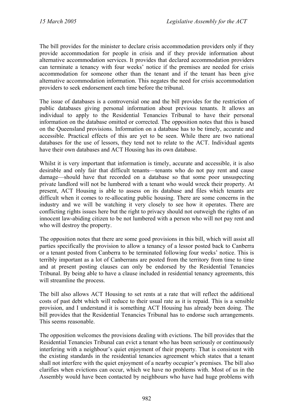The bill provides for the minister to declare crisis accommodation providers only if they provide accommodation for people in crisis and if they provide information about alternative accommodation services. It provides that declared accommodation providers can terminate a tenancy with four weeks' notice if the premises are needed for crisis accommodation for someone other than the tenant and if the tenant has been give alternative accommodation information. This negates the need for crisis accommodation providers to seek endorsement each time before the tribunal.

The issue of databases is a controversial one and the bill provides for the restriction of public databases giving personal information about previous tenants. It allows an individual to apply to the Residential Tenancies Tribunal to have their personal information on the database omitted or corrected. The opposition notes that this is based on the Queensland provisions. Information on a database has to be timely, accurate and accessible. Practical effects of this are yet to be seen. While there are two national databases for the use of lessors, they tend not to relate to the ACT. Individual agents have their own databases and ACT Housing has its own database.

Whilst it is very important that information is timely, accurate and accessible, it is also desirable and only fair that difficult tenants—tenants who do not pay rent and cause damage—should have that recorded on a database so that some poor unsuspecting private landlord will not be lumbered with a tenant who would wreck their property. At present, ACT Housing is able to assess on its database and files which tenants are difficult when it comes to re-allocating public housing. There are some concerns in the industry and we will be watching it very closely to see how it operates. There are conflicting rights issues here but the right to privacy should not outweigh the rights of an innocent law-abiding citizen to be not lumbered with a person who will not pay rent and who will destroy the property.

The opposition notes that there are some good provisions in this bill, which will assist all parties specifically the provision to allow a tenancy of a lessor posted back to Canberra or a tenant posted from Canberra to be terminated following four weeks' notice. This is terribly important as a lot of Canberrans are posted from the territory from time to time and at present posting clauses can only be endorsed by the Residential Tenancies Tribunal. By being able to have a clause included in residential tenancy agreements, this will streamline the process.

The bill also allows ACT Housing to set rents at a rate that will reflect the additional costs of past debt which will reduce to their usual rate as it is repaid. This is a sensible provision, and I understand it is something ACT Housing has already been doing. The bill provides that the Residential Tenancies Tribunal has to endorse such arrangements. This seems reasonable.

The opposition welcomes the provisions dealing with evictions. The bill provides that the Residential Tenancies Tribunal can evict a tenant who has been seriously or continuously interfering with a neighbour's quiet enjoyment of their property. That is consistent with the existing standards in the residential tenancies agreement which states that a tenant shall not interfere with the quiet enjoyment of a nearby occupier's premises. The bill also clarifies when evictions can occur, which we have no problems with. Most of us in the Assembly would have been contacted by neighbours who have had huge problems with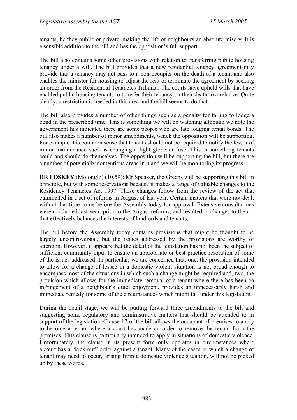tenants, be they public or private, making the life of neighbours an absolute misery. It is a sensible addition to the bill and has the opposition's full support.

The bill also contains some other provisions with relation to transferring public housing tenancy under a will. The bill provides that a new residential tenancy agreement may provide that a tenancy may not pass to a non-occupier on the death of a tenant and also enables the minister for housing to adjust the rent or terminate the agreement by seeking an order from the Residential Tenancies Tribunal. The courts have upheld wills that have enabled public housing tenants to transfer their tenancy on their death to a relative. Quite clearly, a restriction is needed in this area and the bill seems to do that.

The bill also provides a number of other things such as a penalty for failing to lodge a bond in the prescribed time. This is something we will be watching although we note the government has indicated there are some people who are late lodging rental bonds. The bill also makes a number of minor amendments, which the opposition will be supporting. For example it is common sense that tenants should not be required to notify the lessor of minor maintenance such as changing a light globe or fuse. This is something tenants could and should do themselves. The opposition will be supporting the bill, but there are a number of potentially contentious areas in it and we will be monitoring its progress.

**DR FOSKEY** (Molonglo) (10.59): Mr Speaker, the Greens will be supporting this bill in principle, but with some reservations because it makes a range of valuable changes to the Residency Tenancies Act 1997. These changes follow from the review of the act that culminated in a set of reforms in August of last year. Certain matters that were not dealt with at that time come before the Assembly today for approval. Extensive consultations were conducted last year, prior to the August reforms, and resulted in changes to the act that effectively balances the interests of landlords and tenants.

The bill before the Assembly today contains provisions that might be thought to be largely uncontroversial, but the issues addressed by the provisions are worthy of attention. However, it appears that the detail of the legislation has not been the subject of sufficient community input to ensure an appropriate or best practice resolution of some of the issues addressed. In particular, we are concerned that, one, the provision intended to allow for a change of lessee in a domestic violent situation is not broad enough to encompass most of the situations in which such a change might be required and, two, the provision which allows for the immediate removal of a tenant where there has been an infringement of a neighbour's quiet enjoyment, provides an unnecessarily harsh and immediate remedy for some of the circumstances which might fall under this legislation.

During the detail stage, we will be putting forward three amendments to the bill and suggesting some regulatory and administrative matters that should be attended to in support of the legislation. Clause 17 of the bill allows the occupant of premises to apply to become a tenant where a court has made an order to remove the tenant from the premises. This clause is particularly intended to apply in situations of domestic violence. Unfortunately, the clause in its present form only operates in circumstances where a court has a "kick out" order against a tenant. Many of the cases in which a change of tenant may need to occur, arising from a domestic violence situation, will not be picked up by these words.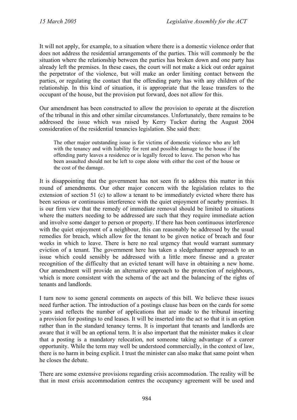It will not apply, for example, to a situation where there is a domestic violence order that does not address the residential arrangements of the parties. This will commonly be the situation where the relationship between the parties has broken down and one party has already left the premises. In these cases, the court will not make a kick out order against the perpetrator of the violence, but will make an order limiting contact between the parties, or regulating the contact that the offending party has with any children of the relationship. In this kind of situation, it is appropriate that the lease transfers to the occupant of the house, but the provision put forward, does not allow for this.

Our amendment has been constructed to allow the provision to operate at the discretion of the tribunal in this and other similar circumstances. Unfortunately, there remains to be addressed the issue which was raised by Kerry Tucker during the August 2004 consideration of the residential tenancies legislation. She said then:

The other major outstanding issue is for victims of domestic violence who are left with the tenancy and with liability for rent and possible damage to the house if the offending party leaves a residence or is legally forced to leave. The person who has been assaulted should not be left to cope alone with either the cost of the house or the cost of the damage.

It is disappointing that the government has not seen fit to address this matter in this round of amendments. Our other major concern with the legislation relates to the extension of section 51 (c) to allow a tenant to be immediately evicted where there has been serious or continuous interference with the quiet enjoyment of nearby premises. It is our firm view that the remedy of immediate removal should be limited to situations where the matters needing to be addressed are such that they require immediate action and involve some danger to person or property. If there has been continuous interference with the quiet enjoyment of a neighbour, this can reasonably be addressed by the usual remedies for breach, which allow for the tenant to be given notice of breach and four weeks in which to leave. There is here no real urgency that would warrant summary eviction of a tenant. The government here has taken a sledgehammer approach to an issue which could sensibly be addressed with a little more finesse and a greater recognition of the difficulty that an evicted tenant will have in obtaining a new home. Our amendment will provide an alternative approach to the protection of neighbours, which is more consistent with the schema of the act and the balancing of the rights of tenants and landlords.

I turn now to some general comments on aspects of this bill. We believe these issues need further action. The introduction of a postings clause has been on the cards for some years and reflects the number of applications that are made to the tribunal inserting a provision for postings to end leases. It will be inserted into the act so that it is an option rather than in the standard tenancy terms. It is important that tenants and landlords are aware that it will be an optional term. It is also important that the minister makes it clear that a posting is a mandatory relocation, not someone taking advantage of a career opportunity. While the term may well be understood commercially, in the context of law, there is no harm in being explicit. I trust the minister can also make that same point when he closes the debate.

There are some extensive provisions regarding crisis accommodation. The reality will be that in most crisis accommodation centres the occupancy agreement will be used and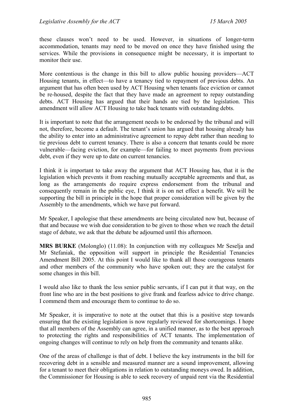these clauses won't need to be used. However, in situations of longer-term accommodation, tenants may need to be moved on once they have finished using the services. While the provisions in consequence might be necessary, it is important to monitor their use.

More contentious is the change in this bill to allow public housing providers—ACT Housing tenants, in effect—to have a tenancy tied to repayment of previous debts. An argument that has often been used by ACT Housing when tenants face eviction or cannot be re-housed, despite the fact that they have made an agreement to repay outstanding debts. ACT Housing has argued that their hands are tied by the legislation. This amendment will allow ACT Housing to take back tenants with outstanding debts.

It is important to note that the arrangement needs to be endorsed by the tribunal and will not, therefore, become a default. The tenant's union has argued that housing already has the ability to enter into an administrative agreement to repay debt rather than needing to tie previous debt to current tenancy. There is also a concern that tenants could be more vulnerable—facing eviction, for example—for failing to meet payments from previous debt, even if they were up to date on current tenancies.

I think it is important to take away the argument that ACT Housing has, that it is the legislation which prevents it from reaching mutually acceptable agreements and that, as long as the arrangements do require express endorsement from the tribunal and consequently remain in the public eye, I think it is on net effect a benefit. We will be supporting the bill in principle in the hope that proper consideration will be given by the Assembly to the amendments, which we have put forward.

Mr Speaker, I apologise that these amendments are being circulated now but, because of that and because we wish due consideration to be given to those when we reach the detail stage of debate, we ask that the debate be adjourned until this afternoon.

**MRS BURKE** (Molonglo) (11.08): In conjunction with my colleagues Mr Seselja and Mr Stefaniak, the opposition will support in principle the Residential Tenancies Amendment Bill 2005. At this point I would like to thank all those courageous tenants and other members of the community who have spoken out; they are the catalyst for some changes in this bill.

I would also like to thank the less senior public servants, if I can put it that way, on the front line who are in the best positions to give frank and fearless advice to drive change. I commend them and encourage them to continue to do so.

Mr Speaker, it is imperative to note at the outset that this is a positive step towards ensuring that the existing legislation is now regularly reviewed for shortcomings. I hope that all members of the Assembly can agree, in a unified manner, as to the best approach to protecting the rights and responsibilities of ACT tenants. The implementation of ongoing changes will continue to rely on help from the community and tenants alike.

One of the areas of challenge is that of debt. I believe the key instruments in the bill for recovering debt in a sensible and measured manner are a sound improvement, allowing for a tenant to meet their obligations in relation to outstanding moneys owed. In addition, the Commissioner for Housing is able to seek recovery of unpaid rent via the Residential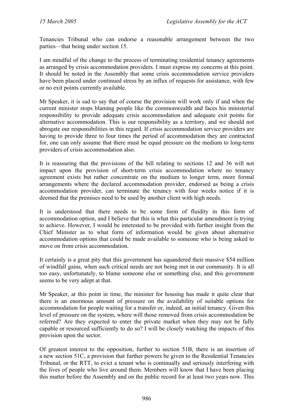Tenancies Tribunal who can endorse a reasonable arrangement between the two parties—that being under section 15.

I am mindful of the change to the process of terminating residential tenancy agreements as arranged by crisis accommodation providers. I must express my concerns at this point. It should be noted in the Assembly that some crisis accommodation service providers have been placed under continued stress by an influx of requests for assistance, with few or no exit points currently available.

Mr Speaker, it is sad to say that of course the provision will work only if and when the current minister stops blaming people like the commonwealth and faces his ministerial responsibility to provide adequate crisis accommodation and adequate exit points for alternative accommodation. This is our responsibility as a territory, and we should not abrogate our responsibilities in this regard. If crisis accommodation service providers are having to provide three to four times the period of accommodation they are contracted for, one can only assume that there must be equal pressure on the medium to long-term providers of crisis accommodation also.

It is reassuring that the provisions of the bill relating to sections 12 and 36 will not impact upon the provision of short-term crisis accommodation where no tenancy agreement exists but rather concentrate on the medium to longer term, more formal arrangements where the declared accommodation provider, endorsed as being a crisis accommodation provider, can terminate the tenancy with four weeks notice if it is deemed that the premises need to be used by another client with high needs.

It is understood that there needs to be some form of fluidity in this form of accommodation option, and I believe that this is what this particular amendment is trying to achieve. However, I would be interested to be provided with further insight from the Chief Minister as to what form of information would be given about alternative accommodation options that could be made available to someone who is being asked to move on from crisis accommodation.

It certainly is a great pity that this government has squandered their massive \$54 million of windfall gains, when such critical needs are not being met in our community. It is all too easy, unfortunately, to blame someone else or something else, and this government seems to be very adept at that.

Mr Speaker, at this point in time, the minister for housing has made it quite clear that there is an enormous amount of pressure on the availability of suitable options for accommodation for people waiting for a transfer or, indeed, an initial tenancy. Given this level of pressure on the system, where will those removed from crisis accommodation be referred? Are they expected to enter the private market when they may not be fully capable or resourced sufficiently to do so? I will be closely watching the impacts of this provision upon the sector.

Of greatest interest to the opposition, further to section 51B, there is an insertion of a new section 51C, a provision that further powers be given to the Residential Tenancies Tribunal, or the RTT, to evict a tenant who is continually and seriously interfering with the lives of people who live around them. Members will know that I have been placing this matter before the Assembly and on the public record for at least two years now. This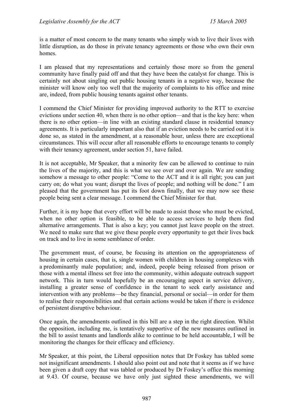is a matter of most concern to the many tenants who simply wish to live their lives with little disruption, as do those in private tenancy agreements or those who own their own homes.

I am pleased that my representations and certainly those more so from the general community have finally paid off and that they have been the catalyst for change. This is certainly not about singling out public housing tenants in a negative way, because the minister will know only too well that the majority of complaints to his office and mine are, indeed, from public housing tenants against other tenants.

I commend the Chief Minister for providing improved authority to the RTT to exercise evictions under section 40, when there is no other option—and that is the key here: when there is no other option—in line with an existing standard clause in residential tenancy agreements. It is particularly important also that if an eviction needs to be carried out it is done so, as stated in the amendment, at a reasonable hour, unless there are exceptional circumstances. This will occur after all reasonable efforts to encourage tenants to comply with their tenancy agreement, under section 51, have failed.

It is not acceptable, Mr Speaker, that a minority few can be allowed to continue to ruin the lives of the majority, and this is what we see over and over again. We are sending somehow a message to other people: "Come to the ACT and it is all right; you can just carry on; do what you want; disrupt the lives of people; and nothing will be done." I am pleased that the government has put its foot down finally, that we may now see these people being sent a clear message. I commend the Chief Minister for that.

Further, it is my hope that every effort will be made to assist those who must be evicted, when no other option is feasible, to be able to access services to help them find alternative arrangements. That is also a key; you cannot just leave people on the street. We need to make sure that we give these people every opportunity to get their lives back on track and to live in some semblance of order.

The government must, of course, be focusing its attention on the appropriateness of housing in certain cases, that is, single women with children in housing complexes with a predominantly male population; and, indeed, people being released from prison or those with a mental illness set free into the community, within adequate outreach support network. This in turn would hopefully be an encouraging aspect in service delivery, installing a greater sense of confidence in the tenant to seek early assistance and intervention with any problems—be they financial, personal or social—in order for them to realise their responsibilities and that certain actions would be taken if there is evidence of persistent disruptive behaviour.

Once again, the amendments outlined in this bill are a step in the right direction. Whilst the opposition, including me, is tentatively supportive of the new measures outlined in the bill to assist tenants and landlords alike to continue to be held accountable, I will be monitoring the changes for their efficacy and efficiency.

Mr Speaker, at this point, the Liberal opposition notes that Dr Foskey has tabled some not insignificant amendments. I should also point out and note that it seems as if we have been given a draft copy that was tabled or produced by Dr Foskey's office this morning at 9.43. Of course, because we have only just sighted these amendments, we will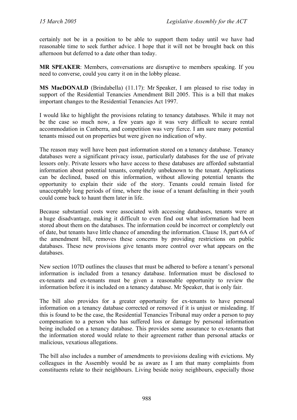certainly not be in a position to be able to support them today until we have had reasonable time to seek further advice. I hope that it will not be brought back on this afternoon but deferred to a date other than today.

**MR SPEAKER**: Members, conversations are disruptive to members speaking. If you need to converse, could you carry it on in the lobby please.

**MS MacDONALD** (Brindabella) (11.17): Mr Speaker, I am pleased to rise today in support of the Residential Tenancies Amendment Bill 2005. This is a bill that makes important changes to the Residential Tenancies Act 1997.

I would like to highlight the provisions relating to tenancy databases. While it may not be the case so much now, a few years ago it was very difficult to secure rental accommodation in Canberra, and competition was very fierce. I am sure many potential tenants missed out on properties but were given no indication of why.

The reason may well have been past information stored on a tenancy database. Tenancy databases were a significant privacy issue, particularly databases for the use of private lessors only. Private lessors who have access to these databases are afforded substantial information about potential tenants, completely unbeknown to the tenant. Applications can be declined, based on this information, without allowing potential tenants the opportunity to explain their side of the story. Tenants could remain listed for unacceptably long periods of time, where the issue of a tenant defaulting in their youth could come back to haunt them later in life.

Because substantial costs were associated with accessing databases, tenants were at a huge disadvantage, making it difficult to even find out what information had been stored about them on the databases. The information could be incorrect or completely out of date, but tenants have little chance of amending the information. Clause 18, part 6A of the amendment bill, removes these concerns by providing restrictions on public databases. These new provisions give tenants more control over what appears on the databases.

New section 107D outlines the clauses that must be adhered to before a tenant's personal information is included from a tenancy database. Information must be disclosed to ex-tenants and ex-tenants must be given a reasonable opportunity to review the information before it is included on a tenancy database. Mr Speaker, that is only fair.

The bill also provides for a greater opportunity for ex-tenants to have personal information on a tenancy database corrected or removed if it is unjust or misleading. If this is found to be the case, the Residential Tenancies Tribunal may order a person to pay compensation to a person who has suffered loss or damage by personal information being included on a tenancy database. This provides some assurance to ex-tenants that the information stored would relate to their agreement rather than personal attacks or malicious, vexatious allegations.

The bill also includes a number of amendments to provisions dealing with evictions. My colleagues in the Assembly would be as aware as I am that many complaints from constituents relate to their neighbours. Living beside noisy neighbours, especially those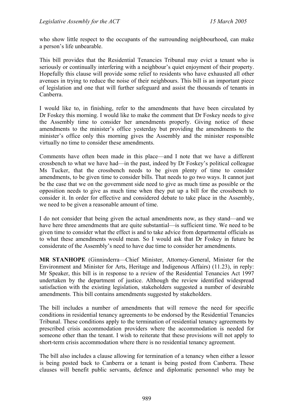who show little respect to the occupants of the surrounding neighbourhood, can make a person's life unbearable.

This bill provides that the Residential Tenancies Tribunal may evict a tenant who is seriously or continually interfering with a neighbour's quiet enjoyment of their property. Hopefully this clause will provide some relief to residents who have exhausted all other avenues in trying to reduce the noise of their neighbours. This bill is an important piece of legislation and one that will further safeguard and assist the thousands of tenants in Canberra.

I would like to, in finishing, refer to the amendments that have been circulated by Dr Foskey this morning. I would like to make the comment that Dr Foskey needs to give the Assembly time to consider her amendments properly. Giving notice of these amendments to the minister's office yesterday but providing the amendments to the minister's office only this morning gives the Assembly and the minister responsible virtually no time to consider these amendments.

Comments have often been made in this place—and I note that we have a different crossbench to what we have had—in the past, indeed by Dr Foskey's political colleague Ms Tucker, that the crossbench needs to be given plenty of time to consider amendments, to be given time to consider bills. That needs to go two ways. It cannot just be the case that we on the government side need to give as much time as possible or the opposition needs to give as much time when they put up a bill for the crossbench to consider it. In order for effective and considered debate to take place in the Assembly, we need to be given a reasonable amount of time.

I do not consider that being given the actual amendments now, as they stand—and we have here three amendments that are quite substantial—is sufficient time. We need to be given time to consider what the effect is and to take advice from departmental officials as to what these amendments would mean. So I would ask that Dr Foskey in future be considerate of the Assembly's need to have due time to consider her amendments.

**MR STANHOPE** (Ginninderra—Chief Minister, Attorney-General, Minister for the Environment and Minister for Arts, Heritage and Indigenous Affairs) (11.23), in reply: Mr Speaker, this bill is in response to a review of the Residential Tenancies Act 1997 undertaken by the department of justice. Although the review identified widespread satisfaction with the existing legislation, stakeholders suggested a number of desirable amendments. This bill contains amendments suggested by stakeholders.

The bill includes a number of amendments that will remove the need for specific conditions in residential tenancy agreements to be endorsed by the Residential Tenancies Tribunal. These conditions apply to the termination of residential tenancy agreements by prescribed crisis accommodation providers where the accommodation is needed for someone other than the tenant. I wish to reiterate that these provisions will not apply to short-term crisis accommodation where there is no residential tenancy agreement.

The bill also includes a clause allowing for termination of a tenancy when either a lessor is being posted back to Canberra or a tenant is being posted from Canberra. These clauses will benefit public servants, defence and diplomatic personnel who may be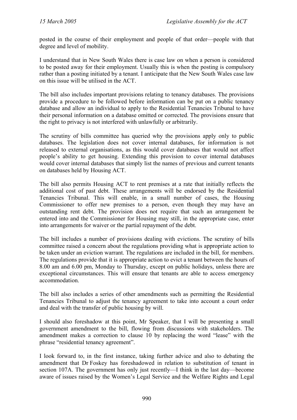posted in the course of their employment and people of that order—people with that degree and level of mobility.

I understand that in New South Wales there is case law on when a person is considered to be posted away for their employment. Usually this is when the posting is compulsory rather than a posting initiated by a tenant. I anticipate that the New South Wales case law on this issue will be utilised in the ACT.

The bill also includes important provisions relating to tenancy databases. The provisions provide a procedure to be followed before information can be put on a public tenancy database and allow an individual to apply to the Residential Tenancies Tribunal to have their personal information on a database omitted or corrected. The provisions ensure that the right to privacy is not interfered with unlawfully or arbitrarily.

The scrutiny of bills committee has queried why the provisions apply only to public databases. The legislation does not cover internal databases, for information is not released to external organisations, as this would cover databases that would not affect people's ability to get housing. Extending this provision to cover internal databases would cover internal databases that simply list the names of previous and current tenants on databases held by Housing ACT.

The bill also permits Housing ACT to rent premises at a rate that initially reflects the additional cost of past debt. These arrangements will be endorsed by the Residential Tenancies Tribunal. This will enable, in a small number of cases, the Housing Commissioner to offer new premises to a person, even though they may have an outstanding rent debt. The provision does not require that such an arrangement be entered into and the Commissioner for Housing may still, in the appropriate case, enter into arrangements for waiver or the partial repayment of the debt.

The bill includes a number of provisions dealing with evictions. The scrutiny of bills committee raised a concern about the regulations providing what is appropriate action to be taken under an eviction warrant. The regulations are included in the bill, for members. The regulations provide that it is appropriate action to evict a tenant between the hours of 8.00 am and 6.00 pm, Monday to Thursday, except on public holidays, unless there are exceptional circumstances. This will ensure that tenants are able to access emergency accommodation.

The bill also includes a series of other amendments such as permitting the Residential Tenancies Tribunal to adjust the tenancy agreement to take into account a court order and deal with the transfer of public housing by will.

I should also foreshadow at this point, Mr Speaker, that I will be presenting a small government amendment to the bill, flowing from discussions with stakeholders. The amendment makes a correction to clause 10 by replacing the word "lease" with the phrase "residential tenancy agreement".

I look forward to, in the first instance, taking further advice and also to debating the amendment that Dr Foskey has foreshadowed in relation to substitution of tenant in section 107A. The government has only just recently—I think in the last day—become aware of issues raised by the Women's Legal Service and the Welfare Rights and Legal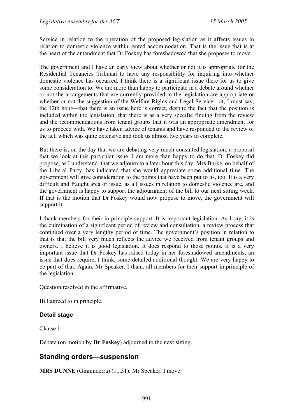Service in relation to the operation of the proposed legislation as it affects issues in relation to domestic violence within rented accommodation. That is the issue that is at the heart of the amendment that Dr Foskey has foreshadowed that she proposes to move.

The government and I have an early view about whether or not it is appropriate for the Residential Tenancies Tribunal to have any responsibility for inquiring into whether domestic violence has occurred. I think there is a significant issue there for us to give some consideration to. We are more than happy to participate in a debate around whether or not the arrangements that are currently provided in the legislation are appropriate or whether or not the suggestion of the Welfare Rights and Legal Service—at, I must say, the 12th hour—that there is an issue here is correct, despite the fact that the position is included within the legislation; that there is as a very specific finding from the review and the recommendations from tenant groups that it was an appropriate amendment for us to proceed with. We have taken advice of tenants and have responded to the review of the act, which was quite extensive and took us almost two years to complete.

But there is, on the day that we are debating very much-consulted legislation, a proposal that we look at this particular issue. I am more than happy to do that. Dr Foskey did propose, as I understand, that we adjourn to a later hour this day. Mrs Burke, on behalf of the Liberal Party, has indicated that she would appreciate some additional time. The government will give consideration to the points that have been put to us, too. It is a very difficult and fraught area or issue, as all issues in relation to domestic violence are, and the government is happy to support the adjournment of the bill to our next sitting week. If that is the motion that Dr Foskey would now propose to move, the government will support it.

I thank members for their in principle support. It is important legislation. As I say, it is the culmination of a significant period of review and consultation, a review process that continued over a very lengthy period of time. The government's position in relation to that is that the bill very much reflects the advice we received from tenant groups and owners. I believe it is good legislation. It does respond to those points. It is a very important issue that Dr Foskey has raised today in her foreshadowed amendments, an issue that does require, I think, some detailed additional thought. We are very happy to be part of that. Again, Mr Speaker, I thank all members for their support in principle of the legislation.

Question resolved in the affirmative.

Bill agreed to in principle.

## **Detail stage**

Clause 1.

Debate (on motion by **Dr Foskey**) adjourned to the next sitting.

# <span id="page-18-0"></span>**Standing orders—suspension**

**MRS DUNNE** (Ginninderra) (11.31): Mr Speaker, I move: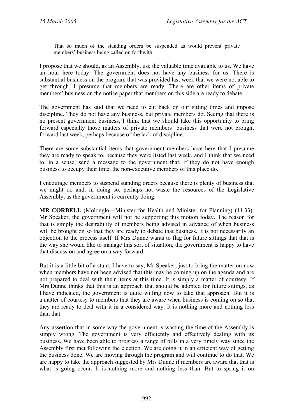That so much of the standing orders be suspended as would prevent private members' business being called on forthwith.

I propose that we should, as an Assembly, use the valuable time available to us. We have an hour here today. The government does not have any business for us. There is substantial business on the program that was provided last week that we were not able to get through. I presume that members are ready. There are other items of private members' business on the notice paper that members on this side are ready to debate.

The government has said that we need to cut back on our sitting times and impose discipline. They do not have any business, but private members do. Seeing that there is no present government business, I think that we should take this opportunity to bring forward especially those matters of private members' business that were not brought forward last week, perhaps because of the lack of discipline.

There are some substantial items that government members have here that I presume they are ready to speak to, because they were listed last week, and I think that we need to, in a sense, send a message to the government that, if they do not have enough business to occupy their time, the non-executive members of this place do.

I encourage members to suspend standing orders because there is plenty of business that we might do and, in doing so, perhaps not waste the resources of the Legislative Assembly, as the government is currently doing.

**MR CORBELL** (Molonglo—Minister for Health and Minister for Planning) (11.33): Mr Speaker, the government will not be supporting this motion today. The reason for that is simply the desirability of members being advised in advance of when business will be brought on so that they are ready to debate that business. It is not necessarily an objection to the process itself. If Mrs Dunne wants to flag for future sittings that that is the way she would like to manage this sort of situation, the government is happy to have that discussion and agree on a way forward.

But it is a little bit of a stunt. I have to say, Mr Speaker, just to bring the matter on now when members have not been advised that this may be coming up on the agenda and are not prepared to deal with their items at this time. It is simply a matter of courtesy. If Mrs Dunne thinks that this is an approach that should be adopted for future sittings, as I have indicated, the government is quite willing now to take that approach. But it is a matter of courtesy to members that they are aware when business is coming on so that they are ready to deal with it in a considered way. It is nothing more and nothing less than that.

Any assertion that in some way the government is wasting the time of the Assembly is simply wrong. The government is very efficiently and effectively dealing with its business. We have been able to progress a range of bills in a very timely way since the Assembly first met following the election. We are doing it in an efficient way of getting the business done. We are moving through the program and will continue to do that. We are happy to take the approach suggested by Mrs Dunne if members are aware that that is what is going occur. It is nothing more and nothing less than. But to spring it on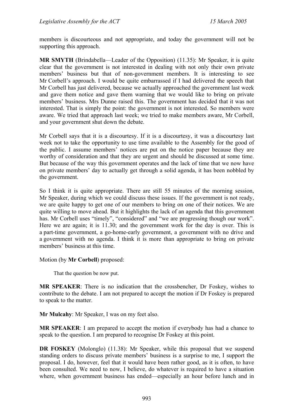members is discourteous and not appropriate, and today the government will not be supporting this approach.

**MR SMYTH** (Brindabella—Leader of the Opposition) (11.35): Mr Speaker, it is quite clear that the government is not interested in dealing with not only their own private members' business but that of non-government members. It is interesting to see Mr Corbell's approach. I would be quite embarrassed if I had delivered the speech that Mr Corbell has just delivered, because we actually approached the government last week and gave them notice and gave them warning that we would like to bring on private members' business. Mrs Dunne raised this. The government has decided that it was not interested. That is simply the point: the government is not interested. So members were aware. We tried that approach last week; we tried to make members aware, Mr Corbell, and your government shut down the debate.

Mr Corbell says that it is a discourtesy. If it is a discourtesy, it was a discourtesy last week not to take the opportunity to use time available to the Assembly for the good of the public. I assume members' notices are put on the notice paper because they are worthy of consideration and that they are urgent and should be discussed at some time. But because of the way this government operates and the lack of time that we now have on private members' day to actually get through a solid agenda, it has been nobbled by the government.

So I think it is quite appropriate. There are still 55 minutes of the morning session, Mr Speaker, during which we could discuss these issues. If the government is not ready, we are quite happy to get one of our members to bring on one of their notices. We are quite willing to move ahead. But it highlights the lack of an agenda that this government has. Mr Corbell uses "timely", "considered" and "we are progressing though our work". Here we are again; it is 11.30; and the government work for the day is over. This is a part-time government, a go-home-early government, a government with no drive and a government with no agenda. I think it is more than appropriate to bring on private members' business at this time.

### Motion (by **Mr Corbell**) proposed:

That the question be now put.

**MR SPEAKER**: There is no indication that the crossbencher, Dr Foskey, wishes to contribute to the debate. I am not prepared to accept the motion if Dr Foskey is prepared to speak to the matter.

**Mr Mulcahy**: Mr Speaker, I was on my feet also.

**MR SPEAKER**: I am prepared to accept the motion if everybody has had a chance to speak to the question. I am prepared to recognise Dr Foskey at this point.

**DR FOSKEY** (Molonglo) (11.38): Mr Speaker, while this proposal that we suspend standing orders to discuss private members' business is a surprise to me, I support the proposal. I do, however, feel that it would have been rather good, as it is often, to have been consulted. We need to now, I believe, do whatever is required to have a situation where, when government business has ended—especially an hour before lunch and in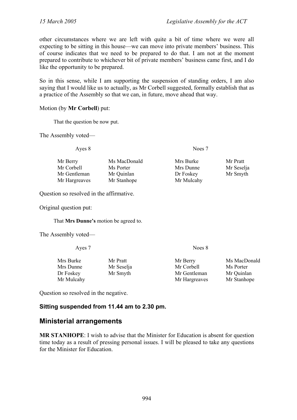other circumstances where we are left with quite a bit of time where we were all expecting to be sitting in this house—we can move into private members' business. This of course indicates that we need to be prepared to do that. I am not at the moment prepared to contribute to whichever bit of private members' business came first, and I do like the opportunity to be prepared.

So in this sense, while I am supporting the suspension of standing orders, I am also saying that I would like us to actually, as Mr Corbell suggested, formally establish that as a practice of the Assembly so that we can, in future, move ahead that way.

#### Motion (by **Mr Corbell**) put:

That the question be now put.

The Assembly voted—

| Ayes 8                                 |                                         | Noes 7                              |                                    |
|----------------------------------------|-----------------------------------------|-------------------------------------|------------------------------------|
| Mr Berry<br>Mr Corbell<br>Mr Gentleman | Ms MacDonald<br>Ms Porter<br>Mr Quinlan | Mrs Burke<br>Mrs Dunne<br>Dr Foskey | Mr Pratt<br>Mr Seselja<br>Mr Smyth |
| Mr Hargreaves                          | Mr Stanhope                             | Mr Mulcahy                          |                                    |

Question so resolved in the affirmative.

Original question put:

That **Mrs Dunne's** motion be agreed to.

The Assembly voted—

| Ayes 7                                            |                                    | Noes 8                                                  |                                                        |  |
|---------------------------------------------------|------------------------------------|---------------------------------------------------------|--------------------------------------------------------|--|
| Mrs Burke<br>Mrs Dunne<br>Dr Foskey<br>Mr Mulcahy | Mr Pratt<br>Mr Seselja<br>Mr Smyth | Mr Berry<br>Mr Corbell<br>Mr Gentleman<br>Mr Hargreaves | Ms MacDonald<br>Ms Porter<br>Mr Quinlan<br>Mr Stanhope |  |
|                                                   |                                    |                                                         |                                                        |  |

Question so resolved in the negative.

## **Sitting suspended from 11.44 am to 2.30 pm.**

# <span id="page-21-0"></span>**Ministerial arrangements**

**MR STANHOPE**: I wish to advise that the Minister for Education is absent for question time today as a result of pressing personal issues. I will be pleased to take any questions for the Minister for Education.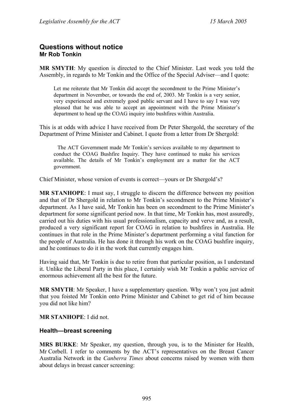# <span id="page-22-0"></span>**Questions without notice Mr Rob Tonkin**

**MR SMYTH**: My question is directed to the Chief Minister. Last week you told the Assembly, in regards to Mr Tonkin and the Office of the Special Adviser—and I quote:

Let me reiterate that Mr Tonkin did accept the secondment to the Prime Minister's department in November, or towards the end of, 2003. Mr Tonkin is a very senior, very experienced and extremely good public servant and I have to say I was very pleased that he was able to accept an appointment with the Prime Minister's department to head up the COAG inquiry into bushfires within Australia.

This is at odds with advice I have received from Dr Peter Shergold, the secretary of the Department of Prime Minister and Cabinet. I quote from a letter from Dr Shergold:

The ACT Government made Mr Tonkin's services available to my department to conduct the COAG Bushfire Inquiry. They have continued to make his services available. The details of Mr Tonkin's employment are a matter for the ACT government.

Chief Minister, whose version of events is correct—yours or Dr Shergold's?

**MR STANHOPE**: I must say, I struggle to discern the difference between my position and that of Dr Shergold in relation to Mr Tonkin's secondment to the Prime Minister's department. As I have said, Mr Tonkin has been on secondment to the Prime Minister's department for some significant period now. In that time, Mr Tonkin has, most assuredly, carried out his duties with his usual professionalism, capacity and verve and, as a result, produced a very significant report for COAG in relation to bushfires in Australia. He continues in that role in the Prime Minister's department performing a vital function for the people of Australia. He has done it through his work on the COAG bushfire inquiry, and he continues to do it in the work that currently engages him.

Having said that, Mr Tonkin is due to retire from that particular position, as I understand it. Unlike the Liberal Party in this place, I certainly wish Mr Tonkin a public service of enormous achievement all the best for the future.

**MR SMYTH**: Mr Speaker, I have a supplementary question. Why won't you just admit that you foisted Mr Tonkin onto Prime Minister and Cabinet to get rid of him because you did not like him?

**MR STANHOPE**: I did not.

### <span id="page-22-1"></span>**Health—breast screening**

**MRS BURKE**: Mr Speaker, my question, through you, is to the Minister for Health, Mr Corbell. I refer to comments by the ACT's representatives on the Breast Cancer Australia Network in the *Canberra Times* about concerns raised by women with them about delays in breast cancer screening: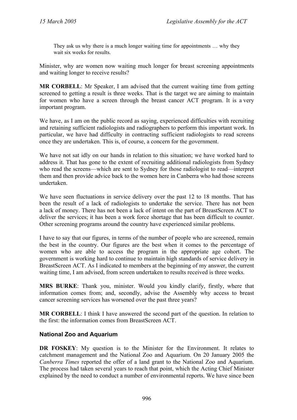They ask us why there is a much longer waiting time for appointments … why they wait six weeks for results.

Minister, why are women now waiting much longer for breast screening appointments and waiting longer to receive results?

**MR CORBELL**: Mr Speaker, I am advised that the current waiting time from getting screened to getting a result is three weeks. That is the target we are aiming to maintain for women who have a screen through the breast cancer ACT program. It is a very important program.

We have, as I am on the public record as saying, experienced difficulties with recruiting and retaining sufficient radiologists and radiographers to perform this important work. In particular, we have had difficulty in contracting sufficient radiologists to read screens once they are undertaken. This is, of course, a concern for the government.

We have not sat idly on our hands in relation to this situation; we have worked hard to address it. That has gone to the extent of recruiting additional radiologists from Sydney who read the screens—which are sent to Sydney for those radiologist to read—interpret them and then provide advice back to the women here in Canberra who had those screens undertaken.

We have seen fluctuations in service delivery over the past 12 to 18 months. That has been the result of a lack of radiologists to undertake the service. There has not been a lack of money. There has not been a lack of intent on the part of BreastScreen ACT to deliver the services; it has been a work force shortage that has been difficult to counter. Other screening programs around the country have experienced similar problems.

I have to say that our figures, in terms of the number of people who are screened, remain the best in the country. Our figures are the best when it comes to the percentage of women who are able to access the program in the appropriate age cohort. The government is working hard to continue to maintain high standards of service delivery in BreastScreen ACT. As I indicated to members at the beginning of my answer, the current waiting time, I am advised, from screen undertaken to results received is three weeks.

**MRS BURKE**: Thank you, minister. Would you kindly clarify, firstly, where that information comes from; and, secondly, advise the Assembly why access to breast cancer screening services has worsened over the past three years?

**MR CORBELL**: I think I have answered the second part of the question. In relation to the first: the information comes from BreastScreen ACT.

### <span id="page-23-0"></span>**National Zoo and Aquarium**

**DR FOSKEY**: My question is to the Minister for the Environment. It relates to catchment management and the National Zoo and Aquarium. On 20 January 2005 the *Canberra Times* reported the offer of a land grant to the National Zoo and Aquarium. The process had taken several years to reach that point, which the Acting Chief Minister explained by the need to conduct a number of environmental reports. We have since been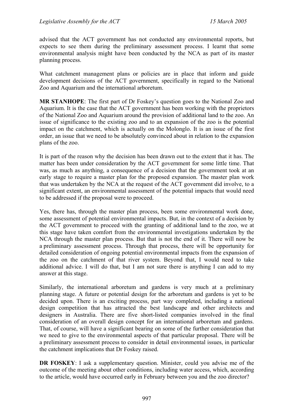advised that the ACT government has not conducted any environmental reports, but expects to see them during the preliminary assessment process. I learnt that some environmental analysis might have been conducted by the NCA as part of its master planning process.

What catchment management plans or policies are in place that inform and guide development decisions of the ACT government, specifically in regard to the National Zoo and Aquarium and the international arboretum.

**MR STANHOPE**: The first part of Dr Foskey's question goes to the National Zoo and Aquarium. It is the case that the ACT government has been working with the proprietors of the National Zoo and Aquarium around the provision of additional land to the zoo. An issue of significance to the existing zoo and to an expansion of the zoo is the potential impact on the catchment, which is actually on the Molonglo. It is an issue of the first order, an issue that we need to be absolutely convinced about in relation to the expansion plans of the zoo.

It is part of the reason why the decision has been drawn out to the extent that it has. The matter has been under consideration by the ACT government for some little time. That was, as much as anything, a consequence of a decision that the government took at an early stage to require a master plan for the proposed expansion. The master plan work that was undertaken by the NCA at the request of the ACT government did involve, to a significant extent, an environmental assessment of the potential impacts that would need to be addressed if the proposal were to proceed.

Yes, there has, through the master plan process, been some environmental work done, some assessment of potential environmental impacts. But, in the context of a decision by the ACT government to proceed with the granting of additional land to the zoo, we at this stage have taken comfort from the environmental investigations undertaken by the NCA through the master plan process. But that is not the end of it. There will now be a preliminary assessment process. Through that process, there will be opportunity for detailed consideration of ongoing potential environmental impacts from the expansion of the zoo on the catchment of that river system. Beyond that, I would need to take additional advice. I will do that, but I am not sure there is anything I can add to my answer at this stage.

Similarly, the international arboretum and gardens is very much at a preliminary planning stage. A future or potential design for the arboretum and gardens is yet to be decided upon. There is an exciting process, part way completed, including a national design competition that has attracted the best landscape and other architects and designers in Australia. There are five short-listed companies involved in the final consideration of an overall design concept for an international arboretum and gardens. That, of course, will have a significant bearing on some of the further consideration that we need to give to the environmental aspects of that particular proposal. There will be a preliminary assessment process to consider in detail environmental issues, in particular the catchment implications that Dr Foskey raised.

**DR FOSKEY**: I ask a supplementary question. Minister, could you advise me of the outcome of the meeting about other conditions, including water access, which, according to the article, would have occurred early in February between you and the zoo director?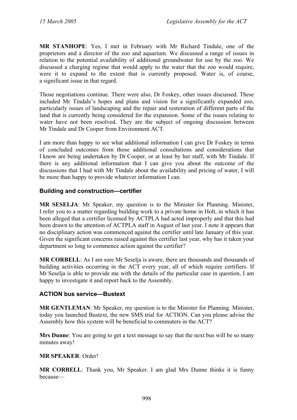**MR STANHOPE**: Yes, I met in February with Mr Richard Tindale, one of the proprietors and a director of the zoo and aquarium. We discussed a range of issues in relation to the potential availability of additional groundwater for use by the zoo. We discussed a charging regime that would apply to the water that the zoo would require, were it to expand to the extent that is currently proposed. Water is, of course, a significant issue in that regard.

Those negotiations continue. There were also, Dr Foskey, other issues discussed. These included Mr Tindale's hopes and plans and vision for a significantly expanded zoo, particularly issues of landscaping and the repair and restoration of different parts of the land that is currently being considered for the expansion. Some of the issues relating to water have not been resolved. They are the subject of ongoing discussion between Mr Tindale and Dr Cooper from Environment ACT.

I am more than happy to see what additional information I can give Dr Foskey in terms of concluded outcomes from those additional consultations and considerations that I know are being undertaken by Dr Cooper, or at least by her staff, with Mr Tindale. If there is any additional information that I can give you about the outcome of the discussions that I had with Mr Tindale about the availability and pricing of water, I will be more than happy to provide whatever information I can.

## <span id="page-25-0"></span>**Building and construction—certifier**

**MR SESELJA**: Mr Speaker, my question is to the Minister for Planning. Minister, I refer you to a matter regarding building work to a private home in Holt, in which it has been alleged that a certifier licensed by ACTPLA had acted improperly and that this had been drawn to the attention of ACTPLA staff in August of last year. I note it appears that no disciplinary action was commenced against the certifier until late January of this year. Given the significant concerns raised against this certifier last year, why has it taken your department so long to commence action against the certifier?

**MR CORBELL**: As I am sure Mr Seselja is aware, there are thousands and thousands of building activities occurring in the ACT every year, all of which require certifiers. If Mr Seselja is able to provide me with the details of the particular case in question, I am happy to investigate it and report back to the Assembly.

## <span id="page-25-1"></span>**ACTION bus service—Bustext**

**MR GENTLEMAN**: Mr Speaker, my question is to the Minister for Planning. Minister, today you launched Bustext, the new SMS trial for ACTION. Can you please advise the Assembly how this system will be beneficial to commuters in the ACT?

**Mrs Dunne**: You are going to get a text message to say that the next bus will be so many minutes away!

### **MR SPEAKER**: Order!

**MR CORBELL**: Thank you, Mr Speaker. I am glad Mrs Dunne thinks it is funny because—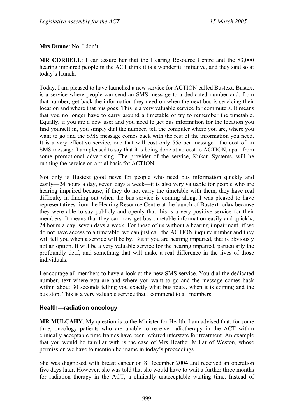## **Mrs Dunne**: No, I don't.

**MR CORBELL**: I can assure her that the Hearing Resource Centre and the 83,000 hearing impaired people in the ACT think it is a wonderful initiative, and they said so at today's launch.

Today, I am pleased to have launched a new service for ACTION called Bustext. Bustext is a service where people can send an SMS message to a dedicated number and, from that number, get back the information they need on when the next bus is servicing their location and where that bus goes. This is a very valuable service for commuters. It means that you no longer have to carry around a timetable or try to remember the timetable. Equally, if you are a new user and you need to get bus information for the location you find yourself in, you simply dial the number, tell the computer where you are, where you want to go and the SMS message comes back with the rest of the information you need. It is a very effective service, one that will cost only 55c per message—the cost of an SMS message. I am pleased to say that it is being done at no cost to ACTION, apart from some promotional advertising. The provider of the service, Kukan Systems, will be running the service on a trial basis for ACTION.

Not only is Bustext good news for people who need bus information quickly and easily—24 hours a day, seven days a week—it is also very valuable for people who are hearing impaired because, if they do not carry the timetable with them, they have real difficulty in finding out when the bus service is coming along. I was pleased to have representatives from the Hearing Resource Centre at the launch of Bustext today because they were able to say publicly and openly that this is a very positive service for their members. It means that they can now get bus timetable information easily and quickly, 24 hours a day, seven days a week. For those of us without a hearing impairment, if we do not have access to a timetable, we can just call the ACTION inquiry number and they will tell you when a service will be by. But if you are hearing impaired, that is obviously not an option. It will be a very valuable service for the hearing impaired, particularly the profoundly deaf, and something that will make a real difference in the lives of those individuals.

I encourage all members to have a look at the new SMS service. You dial the dedicated number, text where you are and where you want to go and the message comes back within about 30 seconds telling you exactly what bus route, when it is coming and the bus stop. This is a very valuable service that I commend to all members.

### <span id="page-26-0"></span>**Health—radiation oncology**

**MR MULCAHY**: My question is to the Minister for Health. I am advised that, for some time, oncology patients who are unable to receive radiotherapy in the ACT within clinically acceptable time frames have been referred interstate for treatment. An example that you would be familiar with is the case of Mrs Heather Millar of Weston, whose permission we have to mention her name in today's proceedings.

She was diagnosed with breast cancer on 8 December 2004 and received an operation five days later. However, she was told that she would have to wait a further three months for radiation therapy in the ACT, a clinically unacceptable waiting time. Instead of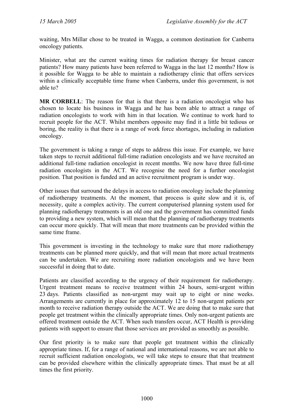waiting, Mrs Millar chose to be treated in Wagga, a common destination for Canberra oncology patients.

Minister, what are the current waiting times for radiation therapy for breast cancer patients? How many patients have been referred to Wagga in the last 12 months? How is it possible for Wagga to be able to maintain a radiotherapy clinic that offers services within a clinically acceptable time frame when Canberra, under this government, is not able to?

**MR CORBELL**: The reason for that is that there is a radiation oncologist who has chosen to locate his business in Wagga and he has been able to attract a range of radiation oncologists to work with him in that location. We continue to work hard to recruit people for the ACT. Whilst members opposite may find it a little bit tedious or boring, the reality is that there is a range of work force shortages, including in radiation oncology.

The government is taking a range of steps to address this issue. For example, we have taken steps to recruit additional full-time radiation oncologists and we have recruited an additional full-time radiation oncologist in recent months. We now have three full-time radiation oncologists in the ACT. We recognise the need for a further oncologist position. That position is funded and an active recruitment program is under way.

Other issues that surround the delays in access to radiation oncology include the planning of radiotherapy treatments. At the moment, that process is quite slow and it is, of necessity, quite a complex activity. The current computerised planning system used for planning radiotherapy treatments is an old one and the government has committed funds to providing a new system, which will mean that the planning of radiotherapy treatments can occur more quickly. That will mean that more treatments can be provided within the same time frame.

This government is investing in the technology to make sure that more radiotherapy treatments can be planned more quickly, and that will mean that more actual treatments can be undertaken. We are recruiting more radiation oncologists and we have been successful in doing that to date.

Patients are classified according to the urgency of their requirement for radiotherapy. Urgent treatment means to receive treatment within 24 hours, semi-urgent within 23 days. Patients classified as non-urgent may wait up to eight or nine weeks. Arrangements are currently in place for approximately 12 to 15 non-urgent patients per month to receive radiation therapy outside the ACT. We are doing that to make sure that people get treatment within the clinically appropriate times. Only non-urgent patients are offered treatment outside the ACT. When such transfers occur, ACT Health is providing patients with support to ensure that those services are provided as smoothly as possible.

Our first priority is to make sure that people get treatment within the clinically appropriate times. If, for a range of national and international reasons, we are not able to recruit sufficient radiation oncologists, we will take steps to ensure that that treatment can be provided elsewhere within the clinically appropriate times. That must be at all times the first priority.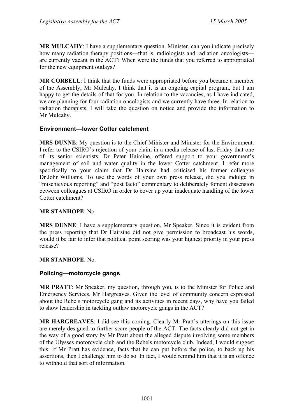**MR MULCAHY**: I have a supplementary question. Minister, can you indicate precisely how many radiation therapy positions—that is, radiologists and radiation oncologists are currently vacant in the ACT? When were the funds that you referred to appropriated for the new equipment outlays?

**MR CORBELL**: I think that the funds were appropriated before you became a member of the Assembly, Mr Mulcahy. I think that it is an ongoing capital program, but I am happy to get the details of that for you. In relation to the vacancies, as I have indicated, we are planning for four radiation oncologists and we currently have three. In relation to radiation therapists, I will take the question on notice and provide the information to Mr Mulcahy.

## <span id="page-28-0"></span>**Environment—lower Cotter catchment**

**MRS DUNNE**: My question is to the Chief Minister and Minister for the Environment. I refer to the CSIRO's rejection of your claim in a media release of last Friday that one of its senior scientists, Dr Peter Hairsine, offered support to your government's management of soil and water quality in the lower Cotter catchment. I refer more specifically to your claim that Dr Hairsine had criticised his former colleague Dr John Williams. To use the words of your own press release, did you indulge in "mischievous reporting" and "post facto" commentary to deliberately foment dissension between colleagues at CSIRO in order to cover up your inadequate handling of the lower Cotter catchment?

### **MR STANHOPE**: No.

**MRS DUNNE**: I have a supplementary question, Mr Speaker. Since it is evident from the press reporting that Dr Hairsine did not give permission to broadcast his words, would it be fair to infer that political point scoring was your highest priority in your press release?

### **MR STANHOPE**: No.

## <span id="page-28-1"></span>**Policing—motorcycle gangs**

**MR PRATT**: Mr Speaker, my question, through you, is to the Minister for Police and Emergency Services, Mr Hargreaves. Given the level of community concern expressed about the Rebels motorcycle gang and its activities in recent days, why have you failed to show leadership in tackling outlaw motorcycle gangs in the ACT?

**MR HARGREAVES**: I did see this coming. Clearly Mr Pratt's utterings on this issue are merely designed to further scare people of the ACT. The facts clearly did not get in the way of a good story by Mr Pratt about the alleged dispute involving some members of the Ulysses motorcycle club and the Rebels motorcycle club. Indeed, I would suggest this: if Mr Pratt has evidence, facts that he can put before the police, to back up his assertions, then I challenge him to do so. In fact, I would remind him that it is an offence to withhold that sort of information.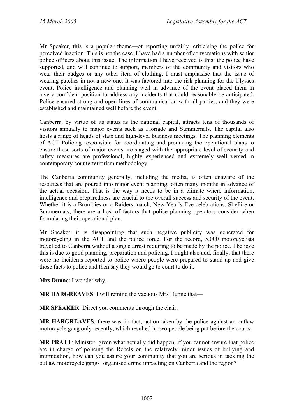Mr Speaker, this is a popular theme—of reporting unfairly, criticising the police for perceived inaction. This is not the case. I have had a number of conversations with senior police officers about this issue. The information I have received is this: the police have supported, and will continue to support, members of the community and visitors who wear their badges or any other item of clothing. I must emphasise that the issue of wearing patches in not a new one. It was factored into the risk planning for the Ulysses event. Police intelligence and planning well in advance of the event placed them in a very confident position to address any incidents that could reasonably be anticipated. Police ensured strong and open lines of communication with all parties, and they were established and maintained well before the event.

Canberra, by virtue of its status as the national capital, attracts tens of thousands of visitors annually to major events such as Floriade and Summernats. The capital also hosts a range of heads of state and high-level business meetings. The planning elements of ACT Policing responsible for coordinating and producing the operational plans to ensure these sorts of major events are staged with the appropriate level of security and safety measures are professional, highly experienced and extremely well versed in contemporary counterterrorism methodology.

The Canberra community generally, including the media, is often unaware of the resources that are poured into major event planning, often many months in advance of the actual occasion. That is the way it needs to be in a climate where information, intelligence and preparedness are crucial to the overall success and security of the event. Whether it is a Brumbies or a Raiders match, New Year's Eve celebrations, SkyFire or Summernats, there are a host of factors that police planning operators consider when formulating their operational plan.

Mr Speaker, it is disappointing that such negative publicity was generated for motorcycling in the ACT and the police force. For the record, 5,000 motorcyclists travelled to Canberra without a single arrest requiring to be made by the police. I believe this is due to good planning, preparation and policing. I might also add, finally, that there were no incidents reported to police where people were prepared to stand up and give those facts to police and then say they would go to court to do it.

**Mrs Dunne**: I wonder why.

**MR HARGREAVES**: I will remind the vacuous Mrs Dunne that—

**MR SPEAKER**: Direct you comments through the chair.

**MR HARGREAVES**: there was, in fact, action taken by the police against an outlaw motorcycle gang only recently, which resulted in two people being put before the courts.

**MR PRATT**: Minister, given what actually did happen, if you cannot ensure that police are in charge of policing the Rebels on the relatively minor issues of bullying and intimidation, how can you assure your community that you are serious in tackling the outlaw motorcycle gangs' organised crime impacting on Canberra and the region?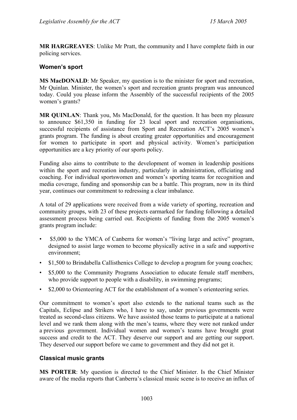**MR HARGREAVES**: Unlike Mr Pratt, the community and I have complete faith in our policing services.

## <span id="page-30-0"></span>**Women's sport**

**MS MacDONALD**: Mr Speaker, my question is to the minister for sport and recreation, Mr Quinlan. Minister, the women's sport and recreation grants program was announced today. Could you please inform the Assembly of the successful recipients of the 2005 women's grants?

**MR QUINLAN**: Thank you, Ms MacDonald, for the question. It has been my pleasure to announce \$61,350 in funding for 23 local sport and recreation organisations, successful recipients of assistance from Sport and Recreation ACT's 2005 women's grants program. The funding is about creating greater opportunities and encouragement for women to participate in sport and physical activity. Women's participation opportunities are a key priority of our sports policy.

Funding also aims to contribute to the development of women in leadership positions within the sport and recreation industry, particularly in administration, officiating and coaching. For individual sportswomen and women's sporting teams for recognition and media coverage, funding and sponsorship can be a battle. This program, now in its third year, continues our commitment to redressing a clear imbalance.

A total of 29 applications were received from a wide variety of sporting, recreation and community groups, with 23 of these projects earmarked for funding following a detailed assessment process being carried out. Recipients of funding from the 2005 women's grants program include:

- \$5,000 to the YMCA of Canberra for women's "living large and active" program, designed to assist large women to become physically active in a safe and supportive environment;
- \$1,500 to Brindabella Callisthenics College to develop a program for young coaches;
- \$5,000 to the Community Programs Association to educate female staff members, who provide support to people with a disability, in swimming programs;
- \$2,000 to Orienteering ACT for the establishment of a women's orienteering series.

Our commitment to women's sport also extends to the national teams such as the Capitals, Eclipse and Strikers who, I have to say, under previous governments were treated as second-class citizens. We have assisted those teams to participate at a national level and we rank them along with the men's teams, where they were not ranked under a previous government. Individual women and women's teams have brought great success and credit to the ACT. They deserve our support and are getting our support. They deserved our support before we came to government and they did not get it.

### <span id="page-30-1"></span>**Classical music grants**

**MS PORTER**: My question is directed to the Chief Minister. Is the Chief Minister aware of the media reports that Canberra's classical music scene is to receive an influx of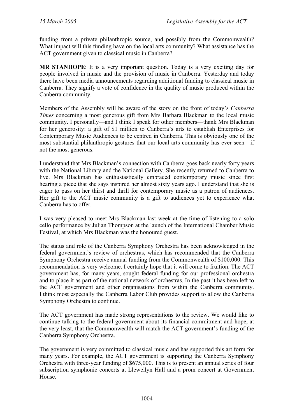funding from a private philanthropic source, and possibly from the Commonwealth? What impact will this funding have on the local arts community? What assistance has the ACT government given to classical music in Canberra?

**MR STANHOPE**: It is a very important question. Today is a very exciting day for people involved in music and the provision of music in Canberra. Yesterday and today there have been media announcements regarding additional funding to classical music in Canberra. They signify a vote of confidence in the quality of music produced within the Canberra community.

Members of the Assembly will be aware of the story on the front of today's *Canberra Times* concerning a most generous gift from Mrs Barbara Blackman to the local music community. I personally—and I think I speak for other members—thank Mrs Blackman for her generosity: a gift of \$1 million to Canberra's arts to establish Enterprises for Contemporary Music Audiences to be centred in Canberra. This is obviously one of the most substantial philanthropic gestures that our local arts community has ever seen—if not the most generous.

I understand that Mrs Blackman's connection with Canberra goes back nearly forty years with the National Library and the National Gallery. She recently returned to Canberra to live. Mrs Blackman has enthusiastically embraced contemporary music since first hearing a piece that she says inspired her almost sixty years ago. I understand that she is eager to pass on her thirst and thrill for contemporary music as a patron of audiences. Her gift to the ACT music community is a gift to audiences yet to experience what Canberra has to offer.

I was very pleased to meet Mrs Blackman last week at the time of listening to a solo cello performance by Julian Thompson at the launch of the International Chamber Music Festival, at which Mrs Blackman was the honoured guest.

The status and role of the Canberra Symphony Orchestra has been acknowledged in the federal government's review of orchestras, which has recommended that the Canberra Symphony Orchestra receive annual funding from the Commonwealth of \$100,000. This recommendation is very welcome. I certainly hope that it will come to fruition. The ACT government has, for many years, sought federal funding for our professional orchestra and to place it as part of the national network of orchestras. In the past it has been left to the ACT government and other organisations from within the Canberra community. I think most especially the Canberra Labor Club provides support to allow the Canberra Symphony Orchestra to continue.

The ACT government has made strong representations to the review. We would like to continue talking to the federal government about its financial commitment and hope, at the very least, that the Commonwealth will match the ACT government's funding of the Canberra Symphony Orchestra.

The government is very committed to classical music and has supported this art form for many years. For example, the ACT government is supporting the Canberra Symphony Orchestra with three-year funding of \$675,000. This is to present an annual series of four subscription symphonic concerts at Llewellyn Hall and a prom concert at Government House.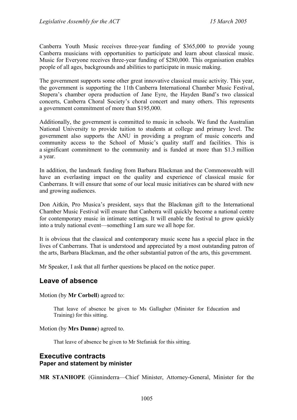Canberra Youth Music receives three-year funding of \$365,000 to provide young Canberra musicians with opportunities to participate and learn about classical music. Music for Everyone receives three-year funding of \$280,000. This organisation enables people of all ages, backgrounds and abilities to participate in music making.

The government supports some other great innovative classical music activity. This year, the government is supporting the 11th Canberra International Chamber Music Festival, Stopera's chamber opera production of Jane Eyre, the Hayden Band's two classical concerts, Canberra Choral Society's choral concert and many others. This represents a government commitment of more than \$195,000.

Additionally, the government is committed to music in schools. We fund the Australian National University to provide tuition to students at college and primary level. The government also supports the ANU in providing a program of music concerts and community access to the School of Music's quality staff and facilities. This is a significant commitment to the community and is funded at more than \$1.3 million a year.

In addition, the landmark funding from Barbara Blackman and the Commonwealth will have an everlasting impact on the quality and experience of classical music for Canberrans. It will ensure that some of our local music initiatives can be shared with new and growing audiences.

Don Aitkin, Pro Musica's president, says that the Blackman gift to the International Chamber Music Festival will ensure that Canberra will quickly become a national centre for contemporary music in intimate settings. It will enable the festival to grow quickly into a truly national event—something I am sure we all hope for.

It is obvious that the classical and contemporary music scene has a special place in the lives of Canberrans. That is understood and appreciated by a most outstanding patron of the arts, Barbara Blackman, and the other substantial patron of the arts, this government.

Mr Speaker, I ask that all further questions be placed on the notice paper.

## <span id="page-32-0"></span>**Leave of absence**

Motion (by **Mr Corbell**) agreed to:

That leave of absence be given to Ms Gallagher (Minister for Education and Training) for this sitting.

### Motion (by **Mrs Dunne**) agreed to.

That leave of absence be given to Mr Stefaniak for this sitting.

## <span id="page-32-1"></span>**Executive contracts Paper and statement by minister**

**MR STANHOPE** (Ginninderra—Chief Minister, Attorney-General, Minister for the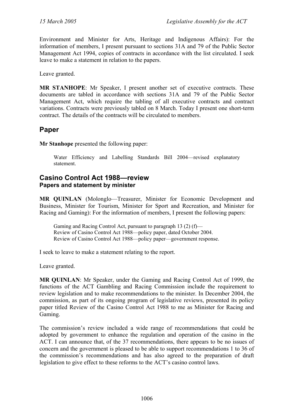Environment and Minister for Arts, Heritage and Indigenous Affairs): For the information of members, I present pursuant to sections 31A and 79 of the Public Sector Management Act 1994, copies of contracts in accordance with the list circulated. I seek leave to make a statement in relation to the papers.

Leave granted.

**MR STANHOPE**: Mr Speaker, I present another set of executive contracts. These documents are tabled in accordance with sections 31A and 79 of the Public Sector Management Act, which require the tabling of all executive contracts and contract variations. Contracts were previously tabled on 8 March. Today I present one short-term contract. The details of the contracts will be circulated to members.

# <span id="page-33-0"></span>**Paper**

**Mr Stanhope** presented the following paper:

Water Efficiency and Labelling Standards Bill 2004—revised explanatory statement.

## <span id="page-33-1"></span>**Casino Control Act 1988—review Papers and statement by minister**

**MR QUINLAN** (Molonglo—Treasurer, Minister for Economic Development and Business, Minister for Tourism, Minister for Sport and Recreation, and Minister for Racing and Gaming): For the information of members, I present the following papers:

Gaming and Racing Control Act, pursuant to paragraph 13 (2) (f)— Review of Casino Control Act 1988—policy paper, dated October 2004. Review of Casino Control Act 1988—policy paper—government response.

I seek to leave to make a statement relating to the report.

Leave granted.

**MR QUINLAN**: Mr Speaker, under the Gaming and Racing Control Act of 1999, the functions of the ACT Gambling and Racing Commission include the requirement to review legislation and to make recommendations to the minister. In December 2004, the commission, as part of its ongoing program of legislative reviews, presented its policy paper titled Review of the Casino Control Act 1988 to me as Minister for Racing and Gaming.

The commission's review included a wide range of recommendations that could be adopted by government to enhance the regulation and operation of the casino in the ACT. I can announce that, of the 37 recommendations, there appears to be no issues of concern and the government is pleased to be able to support recommendations 1 to 36 of the commission's recommendations and has also agreed to the preparation of draft legislation to give effect to these reforms to the ACT's casino control laws.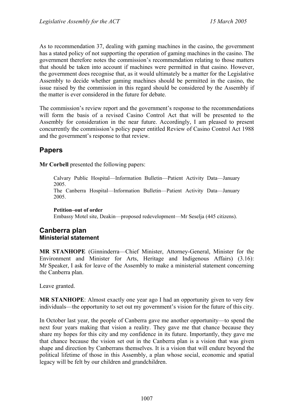As to recommendation 37, dealing with gaming machines in the casino, the government has a stated policy of not supporting the operation of gaming machines in the casino. The government therefore notes the commission's recommendation relating to those matters that should be taken into account if machines were permitted in that casino. However, the government does recognise that, as it would ultimately be a matter for the Legislative Assembly to decide whether gaming machines should be permitted in the casino, the issue raised by the commission in this regard should be considered by the Assembly if the matter is ever considered in the future for debate.

The commission's review report and the government's response to the recommendations will form the basis of a revised Casino Control Act that will be presented to the Assembly for consideration in the near future. Accordingly, I am pleased to present concurrently the commission's policy paper entitled Review of Casino Control Act 1988 and the government's response to that review.

# <span id="page-34-0"></span>**Papers**

**Mr Corbell** presented the following papers:

Calvary Public Hospital—Information Bulletin—Patient Activity Data—January 2005.

The Canberra Hospital—Information Bulletin—Patient Activity Data—January 2005.

**Petition–out of order** 

Embassy Motel site, Deakin—proposed redevelopment—Mr Seselja (445 citizens).

# <span id="page-34-1"></span>**Canberra plan Ministerial statement**

**MR STANHOPE** (Ginninderra—Chief Minister, Attorney-General, Minister for the Environment and Minister for Arts, Heritage and Indigenous Affairs) (3.16): Mr Speaker, I ask for leave of the Assembly to make a ministerial statement concerning the Canberra plan.

Leave granted.

**MR STANHOPE**: Almost exactly one year ago I had an opportunity given to very few individuals—the opportunity to set out my government's vision for the future of this city.

In October last year, the people of Canberra gave me another opportunity—to spend the next four years making that vision a reality. They gave me that chance because they share my hopes for this city and my confidence in its future. Importantly, they gave me that chance because the vision set out in the Canberra plan is a vision that was given shape and direction by Canberrans themselves. It is a vision that will endure beyond the political lifetime of those in this Assembly, a plan whose social, economic and spatial legacy will be felt by our children and grandchildren.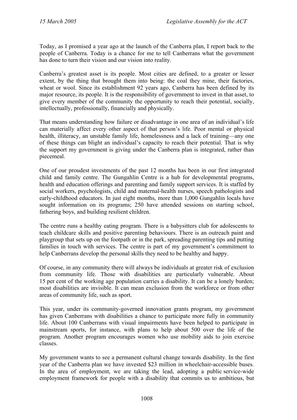Today, as I promised a year ago at the launch of the Canberra plan, I report back to the people of Canberra. Today is a chance for me to tell Canberrans what the government has done to turn their vision and our vision into reality.

Canberra's greatest asset is its people. Most cities are defined, to a greater or lesser extent, by the thing that brought them into being: the coal they mine, their factories, wheat or wool. Since its establishment 92 years ago, Canberra has been defined by its major resource, its people. It is the responsibility of government to invest in that asset, to give every member of the community the opportunity to reach their potential, socially, intellectually, professionally, financially and physically.

That means understanding how failure or disadvantage in one area of an individual's life can materially affect every other aspect of that person's life. Poor mental or physical health, illiteracy, an unstable family life, homelessness and a lack of training—any one of these things can blight an individual's capacity to reach their potential. That is why the support my government is giving under the Canberra plan is integrated, rather than piecemeal.

One of our proudest investments of the past 12 months has been in our first integrated child and family centre. The Gungahlin Centre is a hub for developmental programs, health and education offerings and parenting and family support services. It is staffed by social workers, psychologists, child and maternal-health nurses, speech pathologists and early-childhood educators. In just eight months, more than 1,000 Gungahlin locals have sought information on its programs; 250 have attended sessions on starting school, fathering boys, and building resilient children.

The centre runs a healthy eating program. There is a babysitters club for adolescents to teach childcare skills and positive parenting behaviours. There is an outreach paint and playgroup that sets up on the footpath or in the park, spreading parenting tips and putting families in touch with services. The centre is part of my government's commitment to help Canberrans develop the personal skills they need to be healthy and happy.

Of course, in any community there will always be individuals at greater risk of exclusion from community life. Those with disabilities are particularly vulnerable. About 15 per cent of the working age population carries a disability. It can be a lonely burden; most disabilities are invisible. It can mean exclusion from the workforce or from other areas of community life, such as sport.

This year, under its community-governed innovation grants program, my government has given Canberrans with disabilities a chance to participate more fully in community life. About 100 Canberrans with visual impairments have been helped to participate in mainstream sports, for instance, with plans to help about 500 over the life of the program. Another program encourages women who use mobility aids to join exercise classes.

My government wants to see a permanent cultural change towards disability. In the first year of the Canberra plan we have invested \$23 million in wheelchair-accessible buses. In the area of employment, we are taking the lead, adopting a public service-wide employment framework for people with a disability that commits us to ambitious, but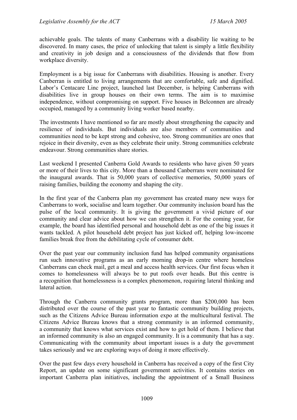achievable goals. The talents of many Canberrans with a disability lie waiting to be discovered. In many cases, the price of unlocking that talent is simply a little flexibility and creativity in job design and a consciousness of the dividends that flow from workplace diversity.

Employment is a big issue for Canberrans with disabilities. Housing is another. Every Canberran is entitled to living arrangements that are comfortable, safe and dignified. Labor's Centacare Linc project, launched last December, is helping Canberrans with disabilities live in group houses on their own terms. The aim is to maximise independence, without compromising on support. Five houses in Belconnen are already occupied, managed by a community living worker based nearby.

The investments I have mentioned so far are mostly about strengthening the capacity and resilience of individuals. But individuals are also members of communities and communities need to be kept strong and cohesive, too. Strong communities are ones that rejoice in their diversity, even as they celebrate their unity. Strong communities celebrate endeavour. Strong communities share stories.

Last weekend I presented Canberra Gold Awards to residents who have given 50 years or more of their lives to this city. More than a thousand Canberrans were nominated for the inaugural awards. That is 50,000 years of collective memories, 50,000 years of raising families, building the economy and shaping the city.

In the first year of the Canberra plan my government has created many new ways for Canberrans to work, socialise and learn together. Our community inclusion board has the pulse of the local community. It is giving the government a vivid picture of our community and clear advice about how we can strengthen it. For the coming year, for example, the board has identified personal and household debt as one of the big issues it wants tackled. A pilot household debt project has just kicked off, helping low-income families break free from the debilitating cycle of consumer debt.

Over the past year our community inclusion fund has helped community organisations run such innovative programs as an early morning drop-in centre where homeless Canberrans can check mail, get a meal and access health services. Our first focus when it comes to homelessness will always be to put roofs over heads. But this centre is a recognition that homelessness is a complex phenomenon, requiring lateral thinking and lateral action.

Through the Canberra community grants program, more than \$200,000 has been distributed over the course of the past year to fantastic community building projects, such as the Citizens Advice Bureau information expo at the multicultural festival. The Citizens Advice Bureau knows that a strong community is an informed community, a community that knows what services exist and how to get hold of them. I believe that an informed community is also an engaged community. It is a community that has a say. Communicating with the community about important issues is a duty the government takes seriously and we are exploring ways of doing it more effectively.

Over the past few days every household in Canberra has received a copy of the first City Report, an update on some significant government activities. It contains stories on important Canberra plan initiatives, including the appointment of a Small Business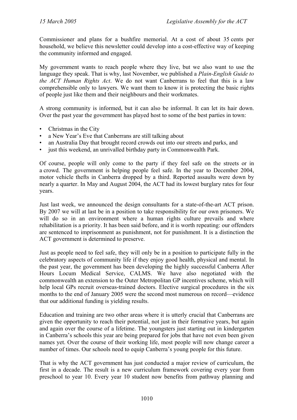Commissioner and plans for a bushfire memorial. At a cost of about 35 cents per household, we believe this newsletter could develop into a cost-effective way of keeping the community informed and engaged.

My government wants to reach people where they live, but we also want to use the language they speak. That is why, last November, we published a *Plain-English Guide to the ACT Human Rights Act*. We do not want Canberrans to feel that this is a law comprehensible only to lawyers. We want them to know it is protecting the basic rights of people just like them and their neighbours and their workmates.

A strong community is informed, but it can also be informal. It can let its hair down. Over the past year the government has played host to some of the best parties in town:

- Christmas in the City
- a New Year's Eve that Canberrans are still talking about
- an Australia Day that brought record crowds out into our streets and parks, and
- just this weekend, an unrivalled birthday party in Commonwealth Park.

Of course, people will only come to the party if they feel safe on the streets or in a crowd. The government is helping people feel safe. In the year to December 2004, motor vehicle thefts in Canberra dropped by a third. Reported assaults were down by nearly a quarter. In May and August 2004, the ACT had its lowest burglary rates for four years.

Just last week, we announced the design consultants for a state-of-the-art ACT prison. By 2007 we will at last be in a position to take responsibility for our own prisoners. We will do so in an environment where a human rights culture prevails and where rehabilitation is a priority. It has been said before, and it is worth repeating: our offenders are sentenced to imprisonment as punishment, not for punishment. It is a distinction the ACT government is determined to preserve.

Just as people need to feel safe, they will only be in a position to participate fully in the celebratory aspects of community life if they enjoy good health, physical and mental. In the past year, the government has been developing the highly successful Canberra After Hours Locum Medical Service, CALMS. We have also negotiated with the commonwealth an extension to the Outer Metropolitan GP incentives scheme, which will help local GPs recruit overseas-trained doctors. Elective surgical procedures in the six months to the end of January 2005 were the second most numerous on record—evidence that our additional funding is yielding results.

Education and training are two other areas where it is utterly crucial that Canberrans are given the opportunity to reach their potential, not just in their formative years, but again and again over the course of a lifetime. The youngsters just starting out in kindergarten in Canberra's schools this year are being prepared for jobs that have not even been given names yet. Over the course of their working life, most people will now change career a number of times. Our schools need to equip Canberra's young people for this future.

That is why the ACT government has just conducted a major review of curriculum, the first in a decade. The result is a new curriculum framework covering every year from preschool to year 10. Every year 10 student now benefits from pathway planning and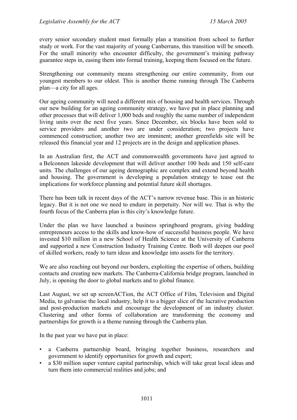every senior secondary student must formally plan a transition from school to further study or work. For the vast majority of young Canberrans, this transition will be smooth. For the small minority who encounter difficulty, the government's training pathway guarantee steps in, easing them into formal training, keeping them focused on the future.

Strengthening our community means strengthening our entire community, from our youngest members to our oldest. This is another theme running through The Canberra plan—a city for all ages.

Our ageing community will need a different mix of housing and health services. Through our new building for an ageing community strategy, we have put in place planning and other processes that will deliver 1,000 beds and roughly the same number of independent living units over the next five years. Since December, six blocks have been sold to service providers and another two are under consideration; two projects have commenced construction; another two are imminent; another greenfields site will be released this financial year and 12 projects are in the design and application phases.

In an Australian first, the ACT and commonwealth governments have just agreed to a Belconnen lakeside development that will deliver another 100 beds and 150 self-care units. The challenges of our ageing demographic are complex and extend beyond health and housing. The government is developing a population strategy to tease out the implications for workforce planning and potential future skill shortages.

There has been talk in recent days of the ACT's narrow revenue base. This is an historic legacy. But it is not one we need to endure in perpetuity. Nor will we. That is why the fourth focus of the Canberra plan is this city's knowledge future.

Under the plan we have launched a business springboard program, giving budding entrepreneurs access to the skills and know-how of successful business people. We have invested \$10 million in a new School of Health Science at the University of Canberra and supported a new Construction Industry Training Centre. Both will deepen our pool of skilled workers, ready to turn ideas and knowledge into assets for the territory.

We are also reaching out beyond our borders, exploiting the expertise of others, building contacts and creating new markets. The Canberra-California bridge program, launched in July, is opening the door to global markets and to global finance.

Last August, we set up screenACTion, the ACT Office of Film, Television and Digital Media, to galvanise the local industry, help it to a bigger slice of the lucrative production and post-production markets and encourage the development of an industry cluster. Clustering and other forms of collaboration are transforming the economy and partnerships for growth is a theme running through the Canberra plan.

In the past year we have put in place:

- a Canberra partnership board, bringing together business, researchers and government to identify opportunities for growth and export;
- a \$30 million super venture capital partnership, which will take great local ideas and turn them into commercial realities and jobs; and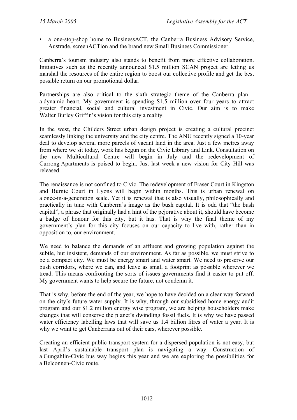• a one-stop-shop home to BusinessACT, the Canberra Business Advisory Service, Austrade, screenACTion and the brand new Small Business Commissioner.

Canberra's tourism industry also stands to benefit from more effective collaboration. Initiatives such as the recently announced \$1.5 million SCAN project are letting us marshal the resources of the entire region to boost our collective profile and get the best possible return on our promotional dollar.

Partnerships are also critical to the sixth strategic theme of the Canberra plan a dynamic heart. My government is spending \$1.5 million over four years to attract greater financial, social and cultural investment in Civic. Our aim is to make Walter Burley Griffin's vision for this city a reality.

In the west, the Childers Street urban design project is creating a cultural precinct seamlessly linking the university and the city centre. The ANU recently signed a 10-year deal to develop several more parcels of vacant land in the area. Just a few metres away from where we sit today, work has begun on the Civic Library and Link. Consultation on the new Multicultural Centre will begin in July and the redevelopment of Currong Apartments is poised to begin. Just last week a new vision for City Hill was released.

The renaissance is not confined to Civic. The redevelopment of Fraser Court in Kingston and Burnie Court in Lyons will begin within months. This is urban renewal on a once-in-a-generation scale. Yet it is renewal that is also visually, philosophically and practically in tune with Canberra's image as the bush capital. It is odd that "the bush capital", a phrase that originally had a hint of the pejorative about it, should have become a badge of honour for this city, but it has. That is why the final theme of my government's plan for this city focuses on our capacity to live with, rather than in opposition to, our environment.

We need to balance the demands of an affluent and growing population against the subtle, but insistent, demands of our environment. As far as possible, we must strive to be a compact city. We must be energy smart and water smart. We need to preserve our bush corridors, where we can, and leave as small a footprint as possible wherever we tread. This means confronting the sorts of issues governments find it easier to put off. My government wants to help secure the future, not condemn it.

That is why, before the end of the year, we hope to have decided on a clear way forward on the city's future water supply. It is why, through our subsidised home energy audit program and our \$1.2 million energy wise program, we are helping householders make changes that will conserve the planet's dwindling fossil fuels. It is why we have passed water efficiency labelling laws that will save us 1.4 billion litres of water a year. It is why we want to get Canberrans out of their cars, wherever possible.

Creating an efficient public-transport system for a dispersed population is not easy, but last April's sustainable transport plan is navigating a way. Construction of a Gungahlin-Civic bus way begins this year and we are exploring the possibilities for a Belconnen-Civic route.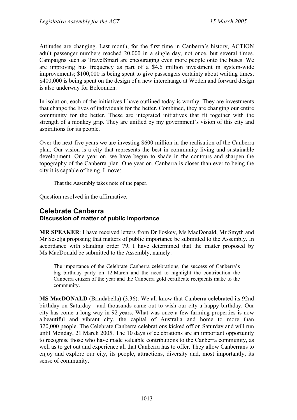Attitudes are changing. Last month, for the first time in Canberra's history, ACTION adult passenger numbers reached 20,000 in a single day, not once, but several times. Campaigns such as TravelSmart are encouraging even more people onto the buses. We are improving bus frequency as part of a \$4.6 million investment in system-wide improvements; \$100,000 is being spent to give passengers certainty about waiting times; \$400,000 is being spent on the design of a new interchange at Woden and forward design is also underway for Belconnen.

In isolation, each of the initiatives I have outlined today is worthy. They are investments that change the lives of individuals for the better. Combined, they are changing our entire community for the better. These are integrated initiatives that fit together with the strength of a monkey grip. They are unified by my government's vision of this city and aspirations for its people.

Over the next five years we are investing \$600 million in the realisation of the Canberra plan. Our vision is a city that represents the best in community living and sustainable development. One year on, we have begun to shade in the contours and sharpen the topography of the Canberra plan. One year on, Canberra is closer than ever to being the city it is capable of being. I move:

That the Assembly takes note of the paper.

Question resolved in the affirmative.

# <span id="page-40-0"></span>**Celebrate Canberra Discussion of matter of public importance**

**MR SPEAKER**: I have received letters from Dr Foskey, Ms MacDonald, Mr Smyth and Mr Seselja proposing that matters of public importance be submitted to the Assembly. In accordance with standing order 79, I have determined that the matter proposed by Ms MacDonald be submitted to the Assembly, namely:

The importance of the Celebrate Canberra celebrations, the success of Canberra's big birthday party on 12 March and the need to highlight the contribution the Canberra citizen of the year and the Canberra gold certificate recipients make to the community.

**MS MacDONALD** (Brindabella) (3.36): We all know that Canberra celebrated its 92nd birthday on Saturday—and thousands came out to wish our city a happy birthday. Our city has come a long way in 92 years. What was once a few farming properties is now a beautiful and vibrant city, the capital of Australia and home to more than 320,000 people. The Celebrate Canberra celebrations kicked off on Saturday and will run until Monday, 21 March 2005. The 10 days of celebrations are an important opportunity to recognise those who have made valuable contributions to the Canberra community, as well as to get out and experience all that Canberra has to offer. They allow Canberrans to enjoy and explore our city, its people, attractions, diversity and, most importantly, its sense of community.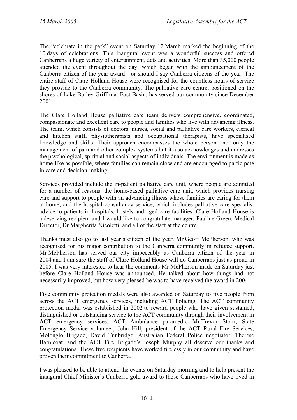The "celebrate in the park" event on Saturday 12 March marked the beginning of the 10 days of celebrations. This inaugural event was a wonderful success and offered Canberrans a huge variety of entertainment, acts and activities. More than 35,000 people attended the event throughout the day, which began with the announcement of the Canberra citizen of the year award—or should I say Canberra citizens of the year. The entire staff of Clare Holland House were recognised for the countless hours of service they provide to the Canberra community. The palliative care centre, positioned on the shores of Lake Burley Griffin at East Basin, has served our community since December 2001.

The Clare Holland House palliative care team delivers comprehensive, coordinated, compassionate and excellent care to people and families who live with advancing illness. The team, which consists of doctors, nurses, social and palliative care workers, clerical and kitchen staff, physiotherapists and occupational therapists, have specialised knowledge and skills. Their approach encompasses the whole person—not only the management of pain and other complex systems but it also acknowledges and addresses the psychological, spiritual and social aspects of individuals. The environment is made as home-like as possible, where families can remain close and are encouraged to participate in care and decision-making.

Services provided include the in-patient palliative care unit, where people are admitted for a number of reasons; the home-based palliative care unit, which provides nursing care and support to people with an advancing illness whose families are caring for them at home; and the hospital consultancy service, which includes palliative care specialist advice to patients in hospitals, hostels and aged-care facilities. Clare Holland House is a deserving recipient and I would like to congratulate manager, Pauline Green, Medical Director, Dr Margherita Nicoletti, and all of the staff at the centre.

Thanks must also go to last year's citizen of the year, Mr Geoff McPherson, who was recognised for his major contribution to the Canberra community in refugee support. Mr McPherson has served our city impeccably as Canberra citizen of the year in 2004 and I am sure the staff of Clare Holland House will do Canberrans just as proud in 2005. I was very interested to hear the comments Mr McPherson made on Saturday just before Clare Holland House was announced. He talked about how things had not necessarily improved, but how very pleased he was to have received the award in 2004.

Five community protection medals were also awarded on Saturday to five people from across the ACT emergency services, including ACT Policing. The ACT community protection medal was established in 2002 to reward people who have given sustained, distinguished or outstanding service to the ACT community through their involvement in ACT emergency services. ACT Ambulance paramedic Mr Trevor Stohr; State Emergency Service volunteer, John Hill; president of the ACT Rural Fire Services, Molonglo Brigade, David Tunbridge; Australian Federal Police negotiator, Therese Barnicoat, and the ACT Fire Brigade's Joseph Murphy all deserve our thanks and congratulations. These five recipients have worked tirelessly in our community and have proven their commitment to Canberra.

I was pleased to be able to attend the events on Saturday morning and to help present the inaugural Chief Minister's Canberra gold award to those Canberrans who have lived in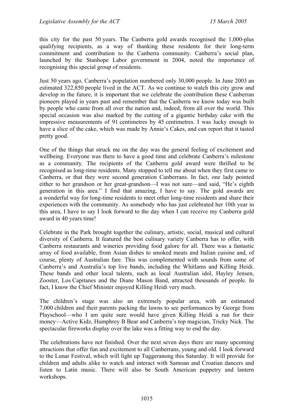this city for the past 50 years. The Canberra gold awards recognised the 1,000-plus qualifying recipients, as a way of thanking these residents for their long-term commitment and contribution to the Canberra community. Canberra's social plan, launched by the Stanhope Labor government in 2004, noted the importance of recognising this special group of residents.

Just 50 years ago, Canberra's population numbered only 30,000 people. In June 2003 an estimated 322,850 people lived in the ACT. As we continue to watch this city grow and develop in the future, it is important that we celebrate the contribution these Canberran pioneers played in years past and remember that the Canberra we know today was built by people who came from all over the nation and, indeed, from all over the world. This special occasion was also marked by the cutting of a gigantic birthday cake with the impressive measurements of 91 centimetres by 45 centimetres. I was lucky enough to have a slice of the cake, which was made by Annie's Cakes, and can report that it tasted pretty good.

One of the things that struck me on the day was the general feeling of excitement and wellbeing. Everyone was there to have a good time and celebrate Canberra's milestone as a community. The recipients of the Canberra gold award were thrilled to be recognised as long-time residents. Many stopped to tell me about when they first came to Canberra, or that they were second generation Canberrans. In fact, one lady pointed either to her grandson or her great-grandson—I was not sure—and said, "He's eighth generation in this area." I find that amazing, I have to say. The gold awards are a wonderful way for long-time residents to meet other long-time residents and share their experiences with the community. As somebody who has just celebrated her 10th year in this area, I have to say I look forward to the day when I can receive my Canberra gold award in 40 years time!

Celebrate in the Park brought together the culinary, artistic, social, musical and cultural diversity of Canberra. It featured the best culinary variety Canberra has to offer, with Canberra restaurants and wineries providing food galore for all. There was a fantastic array of food available, from Asian dishes to smoked meats and Italian cuisine and, of course, plenty of Australian fare. This was complemented with sounds from some of Canberra's and Australia's top live bands, including the Whitlams and Killing Heidi. These bands and other local talents, such as local Australian idol, Hayley Jensen, Zooster, Los Capitanes and the Diane Mason Band, attracted thousands of people. In fact, I know the Chief Minister enjoyed Killing Heidi very much.

The children's stage was also an extremely popular area, with an estimated 7,000 children and their parents packing the lawns to see performances by George from Playschool—who I am quite sure would have given Killing Heidi a run for their money—Active Kidz, Humphrey B Bear and Canberra's top magician, Tricky Nick. The spectacular fireworks display over the lake was a fitting way to end the day.

The celebrations have not finished. Over the next seven days there are many upcoming attractions that offer fun and excitement to all Canberrans, young and old. I look forward to the Lunar Festival, which will light up Tuggeranong this Saturday. It will provide for children and adults alike to watch and interact with Samoan and Croatian dancers and listen to Latin music. There will also be South American puppetry and lantern workshops.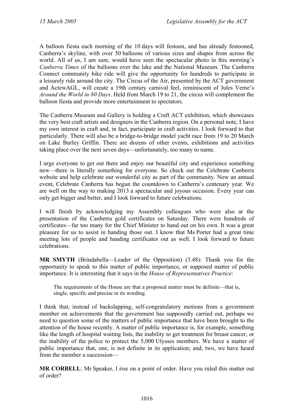A balloon fiesta each morning of the 10 days will festoon, and has already festooned, Canberra's skyline, with over 50 balloons of various sizes and shapes from across the world. All of us, I am sure, would have seen the spectacular photo in this morning's *Canberra Times* of the balloons over the lake and the National Museum. The Canberra Connect community bike ride will give the opportunity for hundreds to participate in a leisurely ride around the city. The Circus of the Air, presented by the ACT government and ActewAGL, will create a 19th century carnival feel, reminiscent of Jules Verne's *Around the World in 80 Days*. Held from March 19 to 21, the circus will complement the balloon fiesta and provide more entertainment to spectators.

The Canberra Museum and Gallery is holding a Craft ACT exhibition, which showcases the very best craft artists and designers in the Canberra region. On a personal note, I have my own interest in craft and, in fact, participate in craft activities. I look forward to that particularly. There will also be a bridge-to-bridge model yacht race from 19 to 20 March on Lake Burley Griffin. There are dozens of other events, exhibitions and activities taking place over the next seven days—unfortunately, too many to name.

I urge everyone to get out there and enjoy our beautiful city and experience something new—there is literally something for everyone. So check out the Celebrate Canberra website and help celebrate our wonderful city as part of the community. Now an annual event, Celebrate Canberra has begun the countdown to Canberra's centenary year. We are well on the way to making 2013 a spectacular and joyous occasion. Every year can only get bigger and better, and I look forward to future celebrations.

I will finish by acknowledging my Assembly colleagues who were also at the presentation of the Canberra gold certificates on Saturday. There were hundreds of certificates—far too many for the Chief Minister to hand out on his own. It was a great pleasure for us to assist in handing those out. I know that Ms Porter had a great time meeting lots of people and handing certificates out as well. I look forward to future celebrations.

**MR SMYTH** (Brindabella—Leader of the Opposition) (3.48): Thank you for the opportunity to speak to this matter of public importance, or supposed matter of public importance. It is interesting that it says in the *House of Representatives Practice*:

The requirements of the House are that a proposed matter must be definite—that is, single, specific and precise in its wording.

I think that, instead of backslapping, self-congratulatory motions from a government member on achievements that the government has supposedly carried out, perhaps we need to question some of the matters of public importance that have been brought to the attention of the house recently. A matter of public importance is, for example, something like the length of hospital waiting lists, the inability to get treatment for breast cancer, or the inability of the police to protect the 5,000 Ulysses members. We have a matter of public importance that, one, is not definite in its application; and, two, we have heard from the member a succession—

**MR CORBELL**: Mr Speaker, I rise on a point of order. Have you ruled this matter out of order?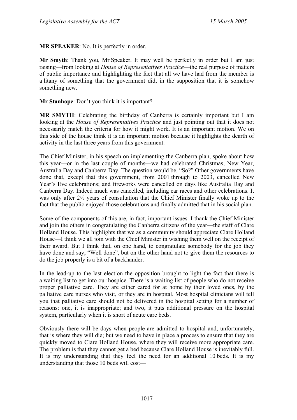**MR SPEAKER**: No. It is perfectly in order.

**Mr Smyth**: Thank you, Mr Speaker. It may well be perfectly in order but I am just raising—from looking at *House of Representatives Practice*—the real purpose of matters of public importance and highlighting the fact that all we have had from the member is a litany of something that the government did, in the supposition that it is somehow something new.

**Mr Stanhope**: Don't you think it is important?

**MR SMYTH**: Celebrating the birthday of Canberra is certainly important but I am looking at the *House of Representatives Practice* and just pointing out that it does not necessarily match the criteria for how it might work. It is an important motion. We on this side of the house think it is an important motion because it highlights the dearth of activity in the last three years from this government.

The Chief Minister, in his speech on implementing the Canberra plan, spoke about how this year—or in the last couple of months—we had celebrated Christmas, New Year, Australia Day and Canberra Day. The question would be, "So?" Other governments have done that, except that this government, from 2001 through to 2003, cancelled New Year's Eve celebrations; and fireworks were cancelled on days like Australia Day and Canberra Day. Indeed much was cancelled, including car races and other celebrations. It was only after 2½ years of consultation that the Chief Minister finally woke up to the fact that the public enjoyed those celebrations and finally admitted that in his social plan.

Some of the components of this are, in fact, important issues. I thank the Chief Minister and join the others in congratulating the Canberra citizens of the year—the staff of Clare Holland House. This highlights that we as a community should appreciate Clare Holland House—I think we all join with the Chief Minister in wishing them well on the receipt of their award. But I think that, on one hand, to congratulate somebody for the job they have done and say, "Well done", but on the other hand not to give them the resources to do the job properly is a bit of a backhander.

In the lead-up to the last election the opposition brought to light the fact that there is a waiting list to get into our hospice. There is a waiting list of people who do not receive proper palliative care. They are either cared for at home by their loved ones, by the palliative care nurses who visit, or they are in hospital. Most hospital clinicians will tell you that palliative care should not be delivered in the hospital setting for a number of reasons: one, it is inappropriate; and two, it puts additional pressure on the hospital system, particularly when it is short of acute care beds.

Obviously there will be days when people are admitted to hospital and, unfortunately, that is where they will die; but we need to have in place a process to ensure that they are quickly moved to Clare Holland House, where they will receive more appropriate care. The problem is that they cannot get a bed because Clare Holland House is inevitably full. It is my understanding that they feel the need for an additional 10 beds. It is my understanding that those 10 beds will cost—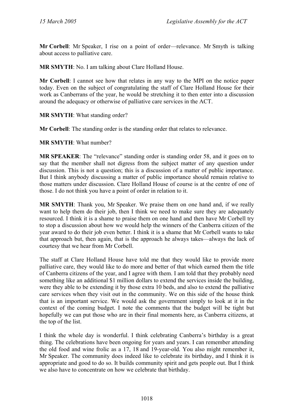**Mr Corbell**: Mr Speaker, I rise on a point of order—relevance. Mr Smyth is talking about access to palliative care.

**MR SMYTH**: No. I am talking about Clare Holland House.

**Mr Corbell**: I cannot see how that relates in any way to the MPI on the notice paper today. Even on the subject of congratulating the staff of Clare Holland House for their work as Canberrans of the year, he would be stretching it to then enter into a discussion around the adequacy or otherwise of palliative care services in the ACT.

### **MR SMYTH**: What standing order?

**Mr Corbell**: The standing order is the standing order that relates to relevance.

**MR SMYTH**: What number?

**MR SPEAKER:** The "relevance" standing order is standing order 58, and it goes on to say that the member shall not digress from the subject matter of any question under discussion. This is not a question; this is a discussion of a matter of public importance. But I think anybody discussing a matter of public importance should remain relative to those matters under discussion. Clare Holland House of course is at the centre of one of those. I do not think you have a point of order in relation to it.

**MR SMYTH**: Thank you, Mr Speaker. We praise them on one hand and, if we really want to help them do their job, then I think we need to make sure they are adequately resourced. I think it is a shame to praise them on one hand and then have Mr Corbell try to stop a discussion about how we would help the winners of the Canberra citizen of the year award to do their job even better. I think it is a shame that Mr Corbell wants to take that approach but, then again, that is the approach he always takes—always the lack of courtesy that we hear from Mr Corbell.

The staff at Clare Holland House have told me that they would like to provide more palliative care, they would like to do more and better of that which earned them the title of Canberra citizens of the year, and I agree with them. I am told that they probably need something like an additional \$1 million dollars to extend the services inside the building, were they able to be extending it by those extra 10 beds, and also to extend the palliative care services when they visit out in the community. We on this side of the house think that is an important service. We would ask the government simply to look at it in the context of the coming budget. I note the comments that the budget will be tight but hopefully we can put those who are in their final moments here, as Canberra citizens, at the top of the list.

I think the whole day is wonderful. I think celebrating Canberra's birthday is a great thing. The celebrations have been ongoing for years and years. I can remember attending the old food and wine frolic as a 17, 18 and 19-year-old. You also might remember it, Mr Speaker. The community does indeed like to celebrate its birthday, and I think it is appropriate and good to do so. It builds community spirit and gets people out. But I think we also have to concentrate on how we celebrate that birthday.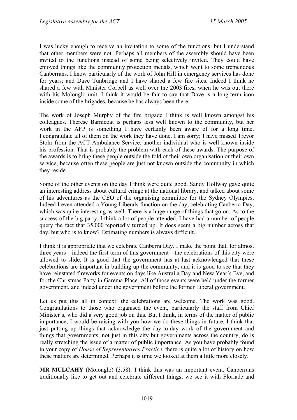I was lucky enough to receive an invitation to some of the functions, but I understand that other members were not. Perhaps all members of the assembly should have been invited to the functions instead of some being selectively invited. They could have enjoyed things like the community protection medals, which went to some tremendous Canberrans. I know particularly of the work of John Hill in emergency services has done for years; and Dave Tunbridge and I have shared a few fire sites. Indeed I think he shared a few with Minister Corbell as well over the 2003 fires, when he was out there with his Molonglo unit. I think it would be fair to say that Dave is a long-term icon inside some of the brigades, because he has always been there.

The work of Joseph Murphy of the fire brigade I think is well known amongst his colleagues. Therese Barnicoat is perhaps less well known to the community, but her work in the AFP is something I have certainly been aware of for a long time. I congratulate all of them on the work they have done. I am sorry; I have missed Trevor Stohr from the ACT Ambulance Service, another individual who is well known inside his profession. That is probably the problem with each of these awards. The purpose of the awards is to bring these people outside the fold of their own organisation or their own service, because often these people are just not known outside the community in which they reside.

Some of the other events on the day I think were quite good. Sandy Hollway gave quite an interesting address about cultural cringe at the national library, and talked about some of his adventures as the CEO of the organising committee for the Sydney Olympics. Indeed I even attended a Young Liberals function on the day, celebrating Canberra Day, which was quite interesting as well. There is a huge range of things that go on. As to the success of the big party, I think a lot of people attended. I have had a number of people query the fact that 35,000 reportedly turned up. It does seem a big number across that day, but who is to know? Estimating numbers is always difficult.

I think it is appropriate that we celebrate Canberra Day. I make the point that, for almost three years—indeed the first term of this government—the celebrations of this city were allowed to slide. It is good that the government has at last acknowledged that these celebrations are important in building up the community; and it is good to see that they have reinstated fireworks for events on days like Australia Day and New Year's Eve, and for the Christmas Party in Garema Place. All of those events were held under the former government, and indeed under the government before the former Liberal government.

Let us put this all in context: the celebrations are welcome. The work was good. Congratulations to those who organised the event, particularly the staff from Chief Minister's, who did a very good job on this. But I think, in terms of the matter of public importance, I would be raising with you how we do these things in future. I think that just putting up things that acknowledge the day-to-day work of the government and things that governments, not just in this city but governments across the country, do is really stretching the issue of a matter of public importance. As you have probably found in your copy of *House of Representatives Practice*, there is quite a lot of history on how these matters are determined. Perhaps it is time we looked at them a little more closely.

**MR MULCAHY** (Molonglo) (3.58): I think this was an important event. Canberrans traditionally like to get out and celebrate different things; we see it with Floriade and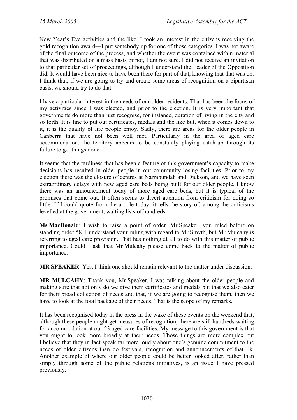New Year's Eve activities and the like. I took an interest in the citizens receiving the gold recognition award—I put somebody up for one of those categories. I was not aware of the final outcome of the process, and whether the event was contained within material that was distributed on a mass basis or not, I am not sure. I did not receive an invitation to that particular set of proceedings, although I understand the Leader of the Opposition did. It would have been nice to have been there for part of that, knowing that that was on. I think that, if we are going to try and create some areas of recognition on a bipartisan basis, we should try to do that.

I have a particular interest in the needs of our older residents. That has been the focus of my activities since I was elected, and prior to the election. It is very important that governments do more than just recognise, for instance, duration of living in the city and so forth. It is fine to put out certificates, medals and the like but, when it comes down to it, it is the quality of life people enjoy. Sadly, there are areas for the older people in Canberra that have not been well met. Particularly in the area of aged care accommodation, the territory appears to be constantly playing catch-up through its failure to get things done.

It seems that the tardiness that has been a feature of this government's capacity to make decisions has resulted in older people in our community losing facilities. Prior to my election there was the closure of centres at Narrabundah and Dickson, and we have seen extraordinary delays with new aged care beds being built for our older people. I know there was an announcement today of more aged care beds, but it is typical of the promises that come out. It often seems to divert attention from criticism for doing so little. If I could quote from the article today, it tells the story of, among the criticisms levelled at the government, waiting lists of hundreds.

**Ms MacDonald**: I wish to raise a point of order. Mr Speaker, you ruled before on standing order 58. I understand your ruling with regard to Mr Smyth, but Mr Mulcahy is referring to aged care provision. That has nothing at all to do with this matter of public importance. Could I ask that Mr Mulcahy please come back to the matter of public importance.

**MR SPEAKER**: Yes. I think one should remain relevant to the matter under discussion.

**MR MULCAHY**: Thank you, Mr Speaker. I was talking about the older people and making sure that not only do we give them certificates and medals but that we also cater for their broad collection of needs and that, if we are going to recognise them, then we have to look at the total package of their needs. That is the scope of my remarks.

It has been recognised today in the press in the wake of these events on the weekend that, although these people might get measures of recognition, there are still hundreds waiting for accommodation at our 23 aged care facilities. My message to this government is that you ought to look more broadly at their needs. Those things are more complex but I believe that they in fact speak far more loudly about one's genuine commitment to the needs of older citizens than do festivals, recognition and announcements of that ilk. Another example of where our older people could be better looked after, rather than simply through some of the public relations initiatives, is an issue I have pressed previously.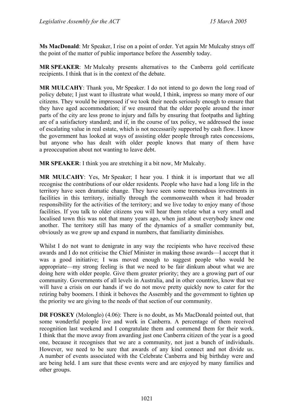**Ms MacDonald**: Mr Speaker, I rise on a point of order. Yet again Mr Mulcahy strays off the point of the matter of public importance before the Assembly today.

**MR SPEAKER**: Mr Mulcahy presents alternatives to the Canberra gold certificate recipients. I think that is in the context of the debate.

**MR MULCAHY**: Thank you, Mr Speaker. I do not intend to go down the long road of policy debate; I just want to illustrate what would, I think, impress so many more of our citizens. They would be impressed if we took their needs seriously enough to ensure that they have aged accommodation; if we ensured that the older people around the inner parts of the city are less prone to injury and falls by ensuring that footpaths and lighting are of a satisfactory standard; and if, in the course of tax policy, we addressed the issue of escalating value in real estate, which is not necessarily supported by cash flow. I know the government has looked at ways of assisting older people through rates concessions, but anyone who has dealt with older people knows that many of them have a preoccupation about not wanting to leave debt.

**MR SPEAKER**: I think you are stretching it a bit now, Mr Mulcahy.

**MR MULCAHY**: Yes, Mr Speaker; I hear you. I think it is important that we all recognise the contributions of our older residents. People who have had a long life in the territory have seen dramatic change. They have seen some tremendous investments in facilities in this territory, initially through the commonwealth when it had broader responsibility for the activities of the territory; and we live today to enjoy many of those facilities. If you talk to older citizens you will hear them relate what a very small and localised town this was not that many years ago, when just about everybody knew one another. The territory still has many of the dynamics of a smaller community but, obviously as we grow up and expand in numbers, that familiarity diminishes.

Whilst I do not want to denigrate in any way the recipients who have received these awards and I do not criticise the Chief Minister in making those awards—I accept that it was a good initiative; I was moved enough to suggest people who would be appropriate—my strong feeling is that we need to be fair dinkum about what we are doing here with older people. Give them greater priority; they are a growing part of our community. Governments of all levels in Australia, and in other countries, know that we will have a crisis on our hands if we do not move pretty quickly now to cater for the retiring baby boomers. I think it behoves the Assembly and the government to tighten up the priority we are giving to the needs of that section of our community.

**DR FOSKEY** (Molonglo) (4.06): There is no doubt, as Ms MacDonald pointed out, that some wonderful people live and work in Canberra. A percentage of them received recognition last weekend and I congratulate them and commend them for their work. I think that the move away from awarding just one Canberra citizen of the year is a good one, because it recognises that we are a community, not just a bunch of individuals. However, we need to be sure that awards of any kind connect and not divide us. A number of events associated with the Celebrate Canberra and big birthday were and are being held. I am sure that these events were and are enjoyed by many families and other groups.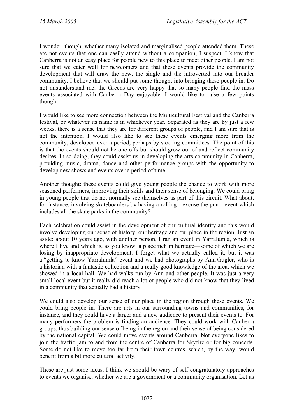I wonder, though, whether many isolated and marginalised people attended them. These are not events that one can easily attend without a companion, I suspect. I know that Canberra is not an easy place for people new to this place to meet other people. I am not sure that we cater well for newcomers and that these events provide the community development that will draw the new, the single and the introverted into our broader community. I believe that we should put some thought into bringing these people in. Do not misunderstand me: the Greens are very happy that so many people find the mass events associated with Canberra Day enjoyable. I would like to raise a few points though.

I would like to see more connection between the Multicultural Festival and the Canberra festival, or whatever its name is in whichever year. Separated as they are by just a few weeks, there is a sense that they are for different groups of people, and I am sure that is not the intention. I would also like to see these events emerging more from the community, developed over a period, perhaps by steering committees. The point of this is that the events should not be one-offs but should grow out of and reflect community desires. In so doing, they could assist us in developing the arts community in Canberra, providing music, drama, dance and other performance groups with the opportunity to develop new shows and events over a period of time.

Another thought: these events could give young people the chance to work with more seasoned performers, improving their skills and their sense of belonging. We could bring in young people that do not normally see themselves as part of this circuit. What about, for instance, involving skateboarders by having a rolling—excuse the pun—event which includes all the skate parks in the community?

Each celebration could assist in the development of our cultural identity and this would involve developing our sense of history, our heritage and our place in the region. Just an aside: about 10 years ago, with another person, I ran an event in Yarralumla, which is where I live and which is, as you know, a place rich in heritage—some of which we are losing by inappropriate development. I forget what we actually called it, but it was a "getting to know Yarralumla" event and we had photographs by Ann Gugler, who is a historian with a fantastic collection and a really good knowledge of the area, which we showed in a local hall. We had walks run by Ann and other people. It was just a very small local event but it really did reach a lot of people who did not know that they lived in a community that actually had a history.

We could also develop our sense of our place in the region through these events. We could bring people in. There are arts in our surrounding towns and communities, for instance, and they could have a larger and a new audience to present their events to. For many performers the problem is finding an audience. They could work with Canberra groups, thus building our sense of being in the region and their sense of being considered by the national capital. We could move events around Canberra. Not everyone likes to join the traffic jam to and from the centre of Canberra for Skyfire or for big concerts. Some do not like to move too far from their town centres, which, by the way, would benefit from a bit more cultural activity.

These are just some ideas. I think we should be wary of self-congratulatory approaches to events we organise, whether we are a government or a community organisation. Let us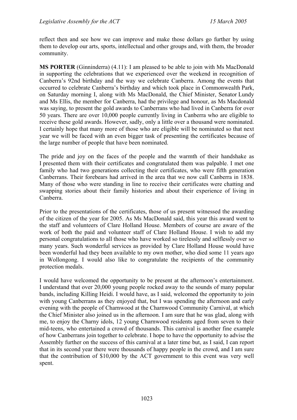reflect then and see how we can improve and make those dollars go further by using them to develop our arts, sports, intellectual and other groups and, with them, the broader community.

**MS PORTER** (Ginninderra) (4.11): I am pleased to be able to join with Ms MacDonald in supporting the celebrations that we experienced over the weekend in recognition of Canberra's 92nd birthday and the way we celebrate Canberra. Among the events that occurred to celebrate Canberra's birthday and which took place in Commonwealth Park, on Saturday morning I, along with Ms MacDonald, the Chief Minister, Senator Lundy and Ms Ellis, the member for Canberra, had the privilege and honour, as Ms Macdonald was saying, to present the gold awards to Canberrans who had lived in Canberra for over 50 years. There are over 10,000 people currently living in Canberra who are eligible to receive these gold awards. However, sadly, only a little over a thousand were nominated. I certainly hope that many more of those who are eligible will be nominated so that next year we will be faced with an even bigger task of presenting the certificates because of the large number of people that have been nominated.

The pride and joy on the faces of the people and the warmth of their handshake as I presented them with their certificates and congratulated them was palpable. I met one family who had two generations collecting their certificates, who were fifth generation Canberrans. Their forebears had arrived in the area that we now call Canberra in 1838. Many of those who were standing in line to receive their certificates were chatting and swapping stories about their family histories and about their experience of living in Canberra.

Prior to the presentations of the certificates, those of us present witnessed the awarding of the citizen of the year for 2005. As Ms MacDonald said, this year this award went to the staff and volunteers of Clare Holland House. Members of course are aware of the work of both the paid and volunteer staff of Clare Holland House. I wish to add my personal congratulations to all those who have worked so tirelessly and selflessly over so many years. Such wonderful services as provided by Clare Holland House would have been wonderful had they been available to my own mother, who died some 11 years ago in Wollongong. I would also like to congratulate the recipients of the community protection medals.

I would have welcomed the opportunity to be present at the afternoon's entertainment. I understand that over 20,000 young people rocked away to the sounds of many popular bands, including Killing Heidi. I would have, as I said, welcomed the opportunity to join with young Canberrans as they enjoyed that, but I was spending the afternoon and early evening with the people of Charnwood at the Charnwood Community Carnival, at which the Chief Minister also joined us in the afternoon. I am sure that he was glad, along with me, to enjoy the Charny idols, 12 young Charnwood residents aged from seven to their mid-teens, who entertained a crowd of thousands. This carnival is another fine example of how Canberrans join together to celebrate. I hope to have the opportunity to advise the Assembly further on the success of this carnival at a later time but, as I said, I can report that in its second year there were thousands of happy people in the crowd, and I am sure that the contribution of \$10,000 by the ACT government to this event was very well spent.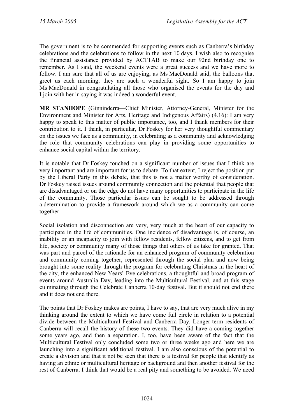The government is to be commended for supporting events such as Canberra's birthday celebrations and the celebrations to follow in the next 10 days. I wish also to recognise the financial assistance provided by ACTTAB to make our 92nd birthday one to remember. As I said, the weekend events were a great success and we have more to follow. I am sure that all of us are enjoying, as Ms MacDonald said, the balloons that greet us each morning; they are such a wonderful sight. So I am happy to join Ms MacDonald in congratulating all those who organised the events for the day and I join with her in saying it was indeed a wonderful event.

**MR STANHOPE** (Ginninderra—Chief Minister, Attorney-General, Minister for the Environment and Minister for Arts, Heritage and Indigenous Affairs) (4.16): I am very happy to speak to this matter of public importance, too, and I thank members for their contribution to it. I thank, in particular, Dr Foskey for her very thoughtful commentary on the issues we face as a community, in celebrating as a community and acknowledging the role that community celebrations can play in providing some opportunities to enhance social capital within the territory.

It is notable that Dr Foskey touched on a significant number of issues that I think are very important and are important for us to debate. To that extent, I reject the position put by the Liberal Party in this debate, that this is not a matter worthy of consideration. Dr Foskey raised issues around community connection and the potential that people that are disadvantaged or on the edge do not have many opportunities to participate in the life of the community. Those particular issues can be sought to be addressed through a determination to provide a framework around which we as a community can come together.

Social isolation and disconnection are very, very much at the heart of our capacity to participate in the life of communities. One incidence of disadvantage is, of course, an inability or an incapacity to join with fellow residents, fellow citizens, and to get from life, society or community many of those things that others of us take for granted. That was part and parcel of the rationale for an enhanced program of community celebration and community coming together, represented through the social plan and now being brought into some reality through the program for celebrating Christmas in the heart of the city, the enhanced New Years' Eve celebrations, a thoughtful and broad program of events around Australia Day, leading into the Multicultural Festival, and at this stage culminating through the Celebrate Canberra 10-day festival. But it should not end there and it does not end there.

The points that Dr Foskey makes are points, I have to say, that are very much alive in my thinking around the extent to which we have come full circle in relation to a potential divide between the Multicultural Festival and Canberra Day. Longer-term residents of Canberra will recall the history of these two events. They did have a coming together some years ago, and then a separation. I, too, have been aware of the fact that the Multicultural Festival only concluded some two or three weeks ago and here we are launching into a significant additional festival. I am also conscious of the potential to create a division and that it not be seen that there is a festival for people that identify as having an ethnic or multicultural heritage or background and then another festival for the rest of Canberra. I think that would be a real pity and something to be avoided. We need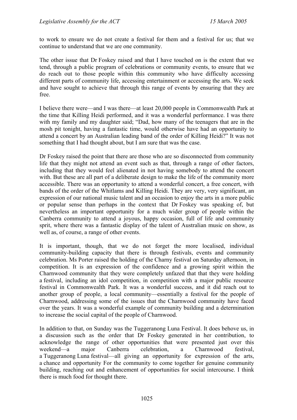to work to ensure we do not create a festival for them and a festival for us; that we continue to understand that we are one community.

The other issue that Dr Foskey raised and that I have touched on is the extent that we tend, through a public program of celebrations or community events, to ensure that we do reach out to those people within this community who have difficulty accessing different parts of community life, accessing entertainment or accessing the arts. We seek and have sought to achieve that through this range of events by ensuring that they are free.

I believe there were—and I was there—at least 20,000 people in Commonwealth Park at the time that Killing Heidi performed, and it was a wonderful performance. I was there with my family and my daughter said; "Dad, how many of the teenagers that are in the mosh pit tonight, having a fantastic time, would otherwise have had an opportunity to attend a concert by an Australian leading band of the order of Killing Heidi?" It was not something that I had thought about, but I am sure that was the case.

Dr Foskey raised the point that there are those who are so disconnected from community life that they might not attend an event such as that, through a range of other factors, including that they would feel alienated in not having somebody to attend the concert with. But these are all part of a deliberate design to make the life of the community more accessible. There was an opportunity to attend a wonderful concert, a free concert, with bands of the order of the Whitlams and Killing Heidi. They are very, very significant, an expression of our national music talent and an occasion to enjoy the arts in a more public or popular sense than perhaps in the context that Dr Foskey was speaking of, but nevertheless an important opportunity for a much wider group of people within the Canberra community to attend a joyous, happy occasion, full of life and community sprit, where there was a fantastic display of the talent of Australian music on show, as well as, of course, a range of other events.

It is important, though, that we do not forget the more localised, individual community-building capacity that there is through festivals, events and community celebration. Ms Porter raised the holding of the Charny festival on Saturday afternoon, in competition. It is an expression of the confidence and a growing spirit within the Charnwood community that they were completely unfazed that that they were holding a festival, including an idol competition, in competition with a major public resource festival in Commonwealth Park. It was a wonderful success, and it did reach out to another group of people, a local community—essentially a festival for the people of Charnwood, addressing some of the issues that the Charnwood community have faced over the years. It was a wonderful example of community building and a determination to increase the social capital of the people of Charnwood.

In addition to that, on Sunday was the Tuggeranong Luna Festival. It does behove us, in a discussion such as the order that Dr Foskey generated in her contribution, to acknowledge the range of other opportunities that were presented just over this weekend—a major Canberra celebration, a Charnwood festival, a Tuggeranong Luna festival—all giving an opportunity for expression of the arts, a chance and opportunity For the community to come together for genuine community building, reaching out and enhancement of opportunities for social intercourse. I think there is much food for thought there.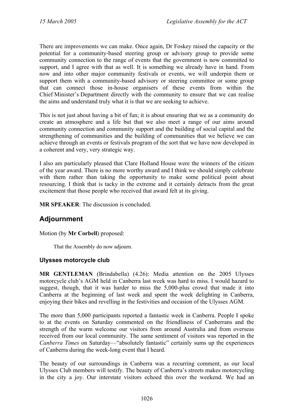There are improvements we can make. Once again, Dr Foskey raised the capacity or the potential for a community-based steering group or advisory group to provide some community connection to the range of events that the government is now committed to support, and I agree with that as well. It is something we already have in hand. From now and into other major community festivals or events, we will underpin them or support them with a community-based advisory or steering committee or some group that can connect those in-house organisers of these events from within the Chief Minister's Department directly with the community to ensure that we can realise the aims and understand truly what it is that we are seeking to achieve.

This is not just about having a bit of fun; it is about ensuring that we as a community do create an atmosphere and a life but that we also meet a range of our aims around community connection and community support and the building of social capital and the strengthening of communities and the building of communities that we believe we can achieve through an events or festivals program of the sort that we have now developed in a coherent and very, very strategic way.

I also am particularly pleased that Clare Holland House were the winners of the citizen of the year award. There is no more worthy award and I think we should simply celebrate with them rather than taking the opportunity to make some political point about resourcing. I think that is tacky in the extreme and it certainly detracts from the great excitement that those people who received that award felt at its giving.

**MR SPEAKER**: The discussion is concluded.

# **Adjournment**

Motion (by **Mr Corbell**) proposed:

That the Assembly do now adjourn.

### <span id="page-53-0"></span>**Ulysses motorcycle club**

**MR GENTLEMAN** (Brindabella) (4.26): Media attention on the 2005 Ulysses motorcycle club's AGM held in Canberra last week was hard to miss. I would hazard to suggest, though, that it was harder to miss the 5,000-plus crowd that made it into Canberra at the beginning of last week and spent the week delighting in Canberra, enjoying their bikes and revelling in the festivities and occasion of the Ulysses AGM.

The more than 5,000 participants reported a fantastic week in Canberra. People I spoke to at the events on Saturday commented on the friendliness of Canberrans and the strength of the warm welcome our visitors from around Australia and from overseas received from our local community. The same sentiment of visitors was reported in the *Canberra Times* on Saturday—"absolutely fantastic" certainly sums up the experiences of Canberra during the week-long event that I heard.

The beauty of our surroundings in Canberra was a recurring comment, as our local Ulysses Club members will testify. The beauty of Canberra's streets makes motorcycling in the city a joy. Our interstate visitors echoed this over the weekend. We had an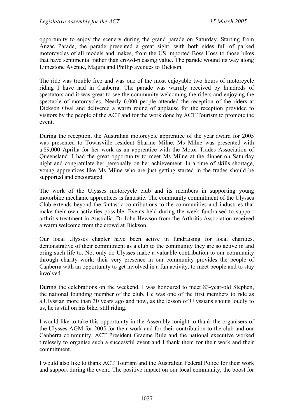opportunity to enjoy the scenery during the grand parade on Saturday. Starting from Anzac Parade, the parade presented a great sight, with both sides full of parked motorcycles of all models and makes, from the US imported Boss Hoss to those bikes that have sentimental rather than crowd-pleasing value. The parade wound its way along Limestone Avenue, Majura and Phillip avenues to Dickson.

The ride was trouble free and was one of the most enjoyable two hours of motorcycle riding I have had in Canberra. The parade was warmly received by hundreds of spectators and it was great to see the community welcoming the riders and enjoying the spectacle of motorcycles. Nearly 6,000 people attended the reception of the riders at Dickson Oval and delivered a warm round of applause for the reception provided to visitors by the people of the ACT and for the work done by ACT Tourism to promote the event.

During the reception, the Australian motorcycle apprentice of the year award for 2005 was presented to Townsville resident Sharine Milne. Ms Milne was presented with a \$9,000 Aprilia for her work as an apprentice with the Motor Trades Association of Queensland. I had the great opportunity to meet Ms Milne at the dinner on Saturday night and congratulate her personally on her achievement. In a time of skills shortage, young apprentices like Ms Milne who are just getting started in the trades should be supported and encouraged.

The work of the Ulysses motorcycle club and its members in supporting young motorbike mechanic apprentices is fantastic. The community commitment of the Ulysses Club extends beyond the fantastic contributions to the communities and industries that make their own activities possible. Events held during the week fundraised to support arthritis treatment in Australia. Dr John Hewson from the Arthritis Association received a warm welcome from the crowd at Dickson.

Our local Ulysses chapter have been active in fundraising for local charities, demonstrative of their commitment as a club to the community they are so active in and bring such life to. Not only do Ulysses make a valuable contribution to our community through charity work; their very presence in our community provides the people of Canberra with an opportunity to get involved in a fun activity, to meet people and to stay involved.

During the celebrations on the weekend. I was honoured to meet 83-year-old Stephen, the national founding member of the club. He was one of the first members to ride as a Ulyssian more than 30 years ago and now, as the lesson of Ulyssians shouts loudly to us, he is still on his bike, still riding.

I would like to take this opportunity in the Assembly tonight to thank the organisers of the Ulysses AGM for 2005 for their work and for their contribution to the club and our Canberra community. ACT President Graeme Rule and the national executive worked tirelessly to organise such a successful event and I thank them for their work and their commitment.

I would also like to thank ACT Tourism and the Australian Federal Police for their work and support during the event. The positive impact on our local community, the boost for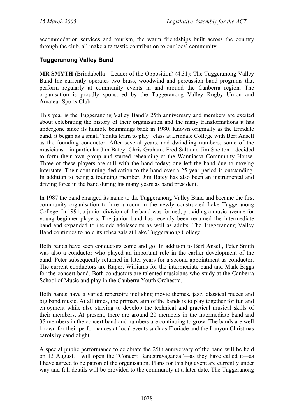accommodation services and tourism, the warm friendships built across the country through the club, all make a fantastic contribution to our local community.

# <span id="page-55-0"></span>**Tuggeranong Valley Band**

**MR SMYTH** (Brindabella—Leader of the Opposition) (4.31): The Tuggeranong Valley Band Inc currently operates two brass, woodwind and percussion band programs that perform regularly at community events in and around the Canberra region. The organisation is proudly sponsored by the Tuggeranong Valley Rugby Union and Amateur Sports Club.

This year is the Tuggeranong Valley Band's 25th anniversary and members are excited about celebrating the history of their organisation and the many transformations it has undergone since its humble beginnings back in 1980. Known originally as the Erindale band, it began as a small "adults learn to play" class at Erindale College with Bert Ansell as the founding conductor. After several years, and dwindling numbers, some of the musicians—in particular Jim Batey, Chris Graham, Fred Salt and Jim Shelton—decided to form their own group and started rehearsing at the Wanniassa Community House. Three of these players are still with the band today; one left the band due to moving interstate. Their continuing dedication to the band over a 25-year period is outstanding. In addition to being a founding member, Jim Batey has also been an instrumental and driving force in the band during his many years as band president.

In 1987 the band changed its name to the Tuggeranong Valley Band and became the first community organisation to hire a room in the newly constructed Lake Tuggeranong College. In 1991, a junior division of the band was formed, providing a music avenue for young beginner players. The junior band has recently been renamed the intermediate band and expanded to include adolescents as well as adults. The Tuggeranong Valley Band continues to hold its rehearsals at Lake Tuggeranong College.

Both bands have seen conductors come and go. In addition to Bert Ansell, Peter Smith was also a conductor who played an important role in the earlier development of the band. Peter subsequently returned in later years for a second appointment as conductor. The current conductors are Rupert Williams for the intermediate band and Mark Biggs for the concert band. Both conductors are talented musicians who study at the Canberra School of Music and play in the Canberra Youth Orchestra.

Both bands have a varied repertoire including movie themes, jazz, classical pieces and big band music. At all times, the primary aim of the bands is to play together for fun and enjoyment while also striving to develop the technical and practical musical skills of their members. At present, there are around 20 members in the intermediate band and 35 members in the concert band and numbers are continuing to grow. The bands are well known for their performances at local events such as Floriade and the Lanyon Christmas carols by candlelight.

A special public performance to celebrate the 25th anniversary of the band will be held on 13 August. I will open the "Concert Bandstravaganza"—as they have called it—as I have agreed to be patron of the organisation. Plans for this big event are currently under way and full details will be provided to the community at a later date. The Tuggeranong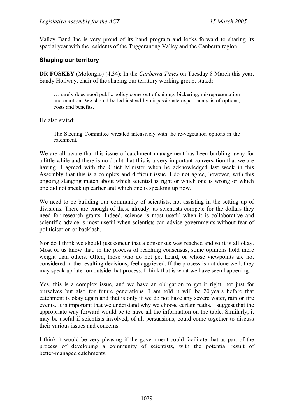Valley Band Inc is very proud of its band program and looks forward to sharing its special year with the residents of the Tuggeranong Valley and the Canberra region.

### <span id="page-56-0"></span>**Shaping our territory**

**DR FOSKEY** (Molonglo) (4.34): In the *Canberra Times* on Tuesday 8 March this year, Sandy Hollway, chair of the shaping our territory working group, stated:

… rarely does good public policy come out of sniping, bickering, misrepresentation and emotion. We should be led instead by dispassionate expert analysis of options, costs and benefits.

He also stated:

The Steering Committee wrestled intensively with the re-vegetation options in the catchment.

We are all aware that this issue of catchment management has been burbling away for a little while and there is no doubt that this is a very important conversation that we are having. I agreed with the Chief Minister when he acknowledged last week in this Assembly that this is a complex and difficult issue. I do not agree, however, with this ongoing slanging match about which scientist is right or which one is wrong or which one did not speak up earlier and which one is speaking up now.

We need to be building our community of scientists, not assisting in the setting up of divisions. There are enough of these already, as scientists compete for the dollars they need for research grants. Indeed, science is most useful when it is collaborative and scientific advice is most useful when scientists can advise governments without fear of politicisation or backlash.

Nor do I think we should just concur that a consensus was reached and so it is all okay. Most of us know that, in the process of reaching consensus, some opinions hold more weight than others. Often, those who do not get heard, or whose viewpoints are not considered in the resulting decisions, feel aggrieved. If the process is not done well, they may speak up later on outside that process. I think that is what we have seen happening.

Yes, this is a complex issue, and we have an obligation to get it right, not just for ourselves but also for future generations. I am told it will be 20 years before that catchment is okay again and that is only if we do not have any severe water, rain or fire events. It is important that we understand why we choose certain paths. I suggest that the appropriate way forward would be to have all the information on the table. Similarly, it may be useful if scientists involved, of all persuasions, could come together to discuss their various issues and concerns.

I think it would be very pleasing if the government could facilitate that as part of the process of developing a community of scientists, with the potential result of better-managed catchments.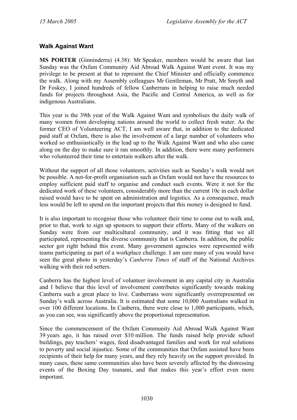## <span id="page-57-0"></span>**Walk Against Want**

**MS PORTER** (Ginninderra) (4.38): Mr Speaker, members would be aware that last Sunday was the Oxfam Community Aid Abroad Walk Against Want event. It was my privilege to be present at that to represent the Chief Minister and officially commence the walk. Along with my Assembly colleagues Mr Gentleman, Mr Pratt, Mr Smyth and Dr Foskey, I joined hundreds of fellow Canberrans in helping to raise much needed funds for projects throughout Asia, the Pacific and Central America, as well as for indigenous Australians.

This year is the 39th year of the Walk Against Want and symbolises the daily walk of many women from developing nations around the world to collect fresh water. As the former CEO of Volunteering ACT, I am well aware that, in addition to the dedicated paid staff at Oxfam, there is also the involvement of a large number of volunteers who worked so enthusiastically in the lead up to the Walk Against Want and who also came along on the day to make sure it ran smoothly. In addition, there were many performers who volunteered their time to entertain walkers after the walk.

Without the support of all those volunteers, activities such as Sunday's walk would not be possible. A not-for-profit organisation such as Oxfam would not have the resources to employ sufficient paid staff to organise and conduct such events. Were it not for the dedicated work of these volunteers, considerably more than the current 10c in each dollar raised would have to be spent on administration and logistics. As a consequence, much less would be left to spend on the important projects that this money is designed to fund.

It is also important to recognise those who volunteer their time to come out to walk and, prior to that, work to sign up sponsors to support their efforts. Many of the walkers on Sunday were from our multicultural community, and it was fitting that we all participated, representing the diverse community that is Canberra. In addition, the public sector got right behind this event. Many government agencies were represented with teams participating as part of a workplace challenge. I am sure many of you would have seen the great photo in yesterday's *Canberra Times* of staff of the National Archives walking with their red setters.

Canberra has the highest level of volunteer involvement in any capital city in Australia and I believe that this level of involvement contributes significantly towards making Canberra such a great place to live. Canberrans were significantly overrepresented on Sunday's walk across Australia. It is estimated that some 10,000 Australians walked in over 100 different locations. In Canberra, there were close to 1,000 participants, which, as you can see, was significantly above the proportional representation.

Since the commencement of the Oxfam Community Aid Abroad Walk Against Want 39 years ago, it has raised over \$10 million. The funds raised help provide school buildings, pay teachers' wages, feed disadvantaged families and work for real solutions to poverty and social injustice. Some of the communities that Oxfam assisted have been recipients of their help for many years, and they rely heavily on the support provided. In many cases, these same communities also have been severely affected by the distressing events of the Boxing Day tsunami, and that makes this year's effort even more important.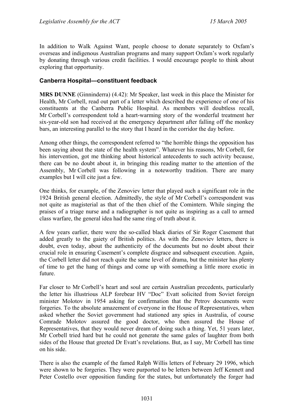In addition to Walk Against Want, people choose to donate separately to Oxfam's overseas and indigenous Australian programs and many support Oxfam's work regularly by donating through various credit facilities. I would encourage people to think about exploring that opportunity.

# <span id="page-58-0"></span>**Canberra Hospital—constituent feedback**

**MRS DUNNE** (Ginninderra) (4.42): Mr Speaker, last week in this place the Minister for Health, Mr Corbell, read out part of a letter which described the experience of one of his constituents at the Canberra Public Hospital. As members will doubtless recall, Mr Corbell's correspondent told a heart-warming story of the wonderful treatment her six-year-old son had received at the emergency department after falling off the monkey bars, an interesting parallel to the story that I heard in the corridor the day before.

Among other things, the correspondent referred to "the horrible things the opposition has been saying about the state of the health system". Whatever his reasons, Mr Corbell, for his intervention, got me thinking about historical antecedents to such activity because, there can be no doubt about it, in bringing this reading matter to the attention of the Assembly, Mr Corbell was following in a noteworthy tradition. There are many examples but I will cite just a few.

One thinks, for example, of the Zenoviev letter that played such a significant role in the 1924 British general election. Admittedly, the style of Mr Corbell's correspondent was not quite as magisterial as that of the then chief of the Comintern. While singing the praises of a triage nurse and a radiographer is not quite as inspiring as a call to armed class warfare, the general idea had the same ring of truth about it.

A few years earlier, there were the so-called black diaries of Sir Roger Casement that added greatly to the gaiety of British politics. As with the Zenoviev letters, there is doubt, even today, about the authenticity of the documents but no doubt about their crucial role in ensuring Casement's complete disgrace and subsequent execution. Again, the Corbell letter did not reach quite the same level of drama, but the minister has plenty of time to get the hang of things and come up with something a little more exotic in future.

Far closer to Mr Corbell's heart and soul are certain Australian precedents, particularly the letter his illustrious ALP forebear HV "Doc" Evatt solicited from Soviet foreign minister Molotov in 1954 asking for confirmation that the Petrov documents were forgeries. To the absolute amazement of everyone in the House of Representatives, when asked whether the Soviet government had stationed any spies in Australia, of course Comrade Molotov assured the good doctor, who then assured the House of Representatives, that they would never dream of doing such a thing. Yet, 51 years later, Mr Corbell tried hard but he could not generate the same gales of laughter from both sides of the House that greeted Dr Evatt's revelations. But, as I say, Mr Corbell has time on his side.

There is also the example of the famed Ralph Willis letters of February 29 1996, which were shown to be forgeries. They were purported to be letters between Jeff Kennett and Peter Costello over opposition funding for the states, but unfortunately the forger had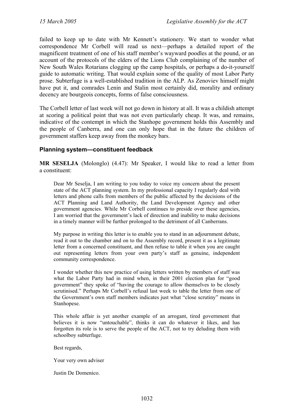failed to keep up to date with Mr Kennett's stationery. We start to wonder what correspondence Mr Corbell will read us next—perhaps a detailed report of the magnificent treatment of one of his staff member's wayward poodles at the pound, or an account of the protocols of the elders of the Lions Club complaining of the number of New South Wales Rotarians clogging up the camp hospitals, or perhaps a do-it-yourself guide to automatic writing. That would explain some of the quality of most Labor Party prose. Subterfuge is a well-established tradition in the ALP. As Zenoviev himself might have put it, and comrades Lenin and Stalin most certainly did, morality and ordinary decency are bourgeois concepts, forms of false consciousness.

The Corbell letter of last week will not go down in history at all. It was a childish attempt at scoring a political point that was not even particularly cheap. It was, and remains, indicative of the contempt in which the Stanhope government holds this Assembly and the people of Canberra, and one can only hope that in the future the children of government staffers keep away from the monkey bars.

### <span id="page-59-0"></span>**Planning system—constituent feedback**

**MR SESELJA** (Molonglo) (4.47): Mr Speaker, I would like to read a letter from a constituent:

Dear Mr Seselja, I am writing to you today to voice my concern about the present state of the ACT planning system. In my professional capacity I regularly deal with letters and phone calls from members of the public affected by the decisions of the ACT Planning and Land Authority, the Land Development Agency and other government agencies. While Mr Corbell continues to preside over these agencies, I am worried that the government's lack of direction and inability to make decisions in a timely manner will be further prolonged to the detriment of all Canberrans.

My purpose in writing this letter is to enable you to stand in an adjournment debate, read it out to the chamber and on to the Assembly record, present it as a legitimate letter from a concerned constituent, and then refuse to table it when you are caught out representing letters from your own party's staff as genuine, independent community correspondence.

I wonder whether this new practice of using letters written by members of staff was what the Labor Party had in mind when, in their 2001 election plan for "good government" they spoke of "having the courage to allow themselves to be closely scrutinised." Perhaps Mr Corbell's refusal last week to table the letter from one of the Government's own staff members indicates just what "close scrutiny" means in Stanhopese.

This whole affair is yet another example of an arrogant, tired government that believes it is now "untouchable", thinks it can do whatever it likes, and has forgotten its role is to serve the people of the ACT, not to try deluding them with schoolboy subterfuge.

Best regards,

Your very own adviser

Justin De Domenico.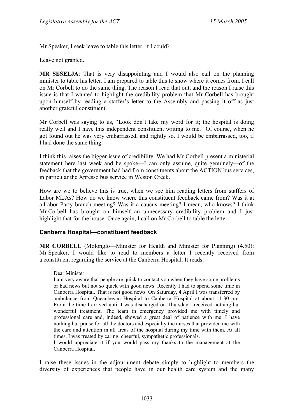Mr Speaker, I seek leave to table this letter, if I could?

Leave not granted.

**MR SESELJA**: That is very disappointing and I would also call on the planning minister to table his letter. I am prepared to table this to show where it comes from. I call on Mr Corbell to do the same thing. The reason I read that out, and the reason I raise this issue is that I wanted to highlight the credibility problem that Mr Corbell has brought upon himself by reading a staffer's letter to the Assembly and passing it off as just another grateful constituent.

Mr Corbell was saying to us, "Look don't take my word for it; the hospital is doing really well and I have this independent constituent writing to me." Of course, when he got found out he was very embarrassed, and rightly so. I would be embarrassed, too, if I had done the same thing.

I think this raises the bigger issue of credibility. We had Mr Corbell present a ministerial statement here last week and he spoke—I can only assume, quite genuinely—of the feedback that the government had had from constituents about the ACTION bus services, in particular the Xpresso bus service in Weston Creek.

How are we to believe this is true, when we see him reading letters from staffers of Labor MLAs? How do we know where this constituent feedback came from? Was it at a Labor Party branch meeting? Was it a caucus meeting? I mean, who knows? I think Mr Corbell has brought on himself an unnecessary credibility problem and I just highlight that for the house. Once again, I call on Mr Corbell to table the letter.

### <span id="page-60-0"></span>**Canberra Hospital—constituent feedback**

**MR CORBELL** (Molonglo—Minister for Health and Minister for Planning) (4.50): Mr Speaker, I would like to read to members a letter I recently received from a constituent regarding the service at the Canberra Hospital. It reads:

#### Dear Minister

I am very aware that people are quick to contact you when they have some problems or bad news but not so quick with good news. Recently I had to spend some time in Canberra Hospital. That is not good news. On Saturday, 4 April I was transferred by ambulance from Queanbeyan Hospital to Canberra Hospital at about 11.30 pm. From the time I arrived until I was discharged on Thursday I received nothing but wonderful treatment. The team in emergency provided me with timely and professional care and, indeed, showed a great deal of patience with me. I have nothing but praise for all the doctors and especially the nurses that provided me with the care and attention in all areas of the hospital during my time with them. At all times, I was treated by caring, cheerful, sympathetic professionals.

I would appreciate it if you would pass my thanks to the management at the Canberra Hospital.

I raise these issues in the adjournment debate simply to highlight to members the diversity of experiences that people have in our health care system and the many